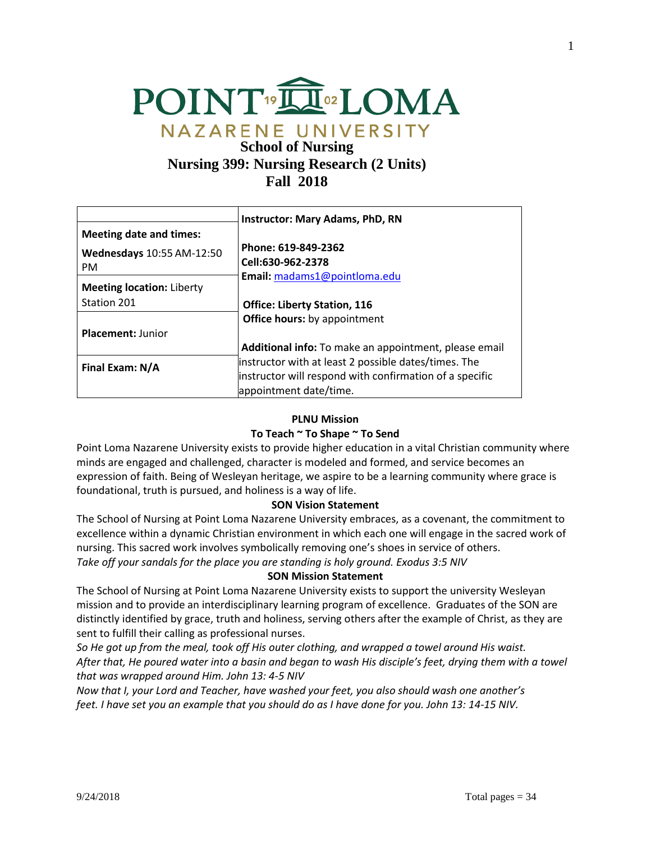

# **School of Nursing Nursing 399: Nursing Research (2 Units) Fall 2018**

|                                  | <b>Instructor: Mary Adams, PhD, RN</b>                  |
|----------------------------------|---------------------------------------------------------|
| Meeting date and times:          |                                                         |
| Wednesdays 10:55 AM-12:50        | Phone: 619-849-2362                                     |
| <b>PM</b>                        | Cell:630-962-2378                                       |
|                                  | Email: madams1@pointloma.edu                            |
| <b>Meeting location: Liberty</b> |                                                         |
| Station 201                      | <b>Office: Liberty Station, 116</b>                     |
|                                  | <b>Office hours:</b> by appointment                     |
| <b>Placement: Junior</b>         |                                                         |
|                                  | Additional info: To make an appointment, please email   |
| Final Exam: N/A                  | instructor with at least 2 possible dates/times. The    |
|                                  | instructor will respond with confirmation of a specific |
|                                  | appointment date/time.                                  |

### **PLNU Mission**

### **To Teach ~ To Shape ~ To Send**

Point Loma Nazarene University exists to provide higher education in a vital Christian community where minds are engaged and challenged, character is modeled and formed, and service becomes an expression of faith. Being of Wesleyan heritage, we aspire to be a learning community where grace is foundational, truth is pursued, and holiness is a way of life.

### **SON Vision Statement**

The School of Nursing at Point Loma Nazarene University embraces, as a covenant, the commitment to excellence within a dynamic Christian environment in which each one will engage in the sacred work of nursing. This sacred work involves symbolically removing one's shoes in service of others. *Take off your sandals for the place you are standing is holy ground. Exodus 3:5 NIV* 

# **SON Mission Statement**

The School of Nursing at Point Loma Nazarene University exists to support the university Wesleyan mission and to provide an interdisciplinary learning program of excellence. Graduates of the SON are distinctly identified by grace, truth and holiness, serving others after the example of Christ, as they are sent to fulfill their calling as professional nurses.

*So He got up from the meal, took off His outer clothing, and wrapped a towel around His waist. After that, He poured water into a basin and began to wash His disciple's feet, drying them with a towel that was wrapped around Him. John 13: 4-5 NIV* 

*Now that I, your Lord and Teacher, have washed your feet, you also should wash one another's feet. I have set you an example that you should do as I have done for you. John 13: 14-15 NIV.*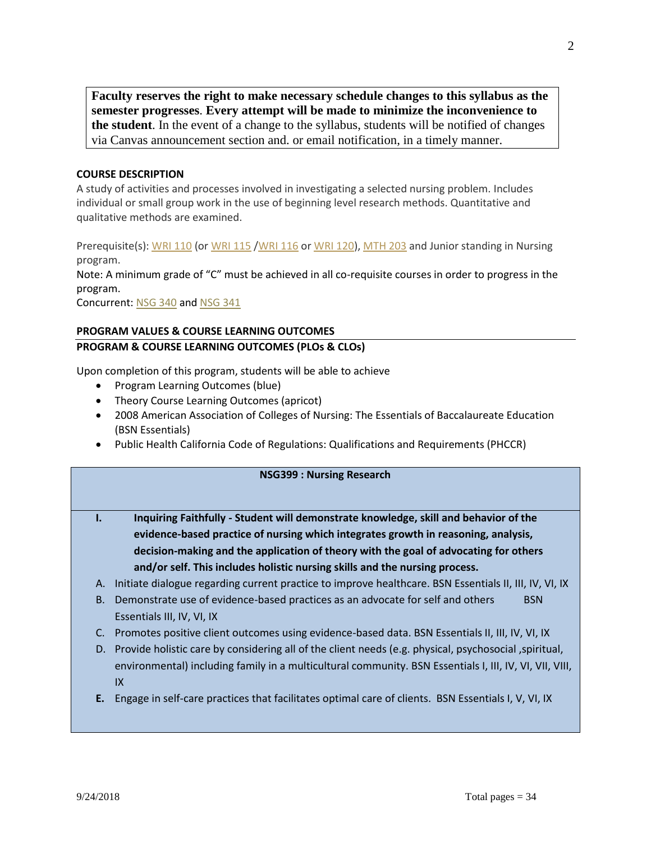**Faculty reserves the right to make necessary schedule changes to this syllabus as the semester progresses**. **Every attempt will be made to minimize the inconvenience to the student**. In the event of a change to the syllabus, students will be notified of changes via Canvas announcement section and. or email notification, in a timely manner.

# **COURSE DESCRIPTION**

A study of activities and processes involved in investigating a selected nursing problem. Includes individual or small group work in the use of beginning level research methods. Quantitative and qualitative methods are examined.

Prerequisite(s): [WRI 110](http://catalog.pointloma.edu/content.php?catoid=8&navoid=873#tt4936) (or [WRI 115](http://catalog.pointloma.edu/content.php?catoid=8&navoid=873#tt2740) [/WRI 116](http://catalog.pointloma.edu/content.php?catoid=8&navoid=873#tt5132) or [WRI 120\)](http://catalog.pointloma.edu/content.php?catoid=8&navoid=873#tt7544), [MTH 203](http://catalog.pointloma.edu/content.php?catoid=8&navoid=873#tt9011) and Junior standing in Nursing program.

Note: A minimum grade of "C" must be achieved in all co-requisite courses in order to progress in the program.

Concurrent: [NSG 340](https://catalog.pointloma.edu/preview_entity.php?catoid=28&ent_oid=1772&returnto=1766#tt1359) and [NSG 341](https://catalog.pointloma.edu/preview_entity.php?catoid=28&ent_oid=1772&returnto=1766#tt5456)

# **PROGRAM VALUES & COURSE LEARNING OUTCOMES PROGRAM & COURSE LEARNING OUTCOMES (PLOs & CLOs)**

Upon completion of this program, students will be able to achieve

- Program Learning Outcomes (blue)
- Theory Course Learning Outcomes (apricot)
- 2008 American Association of Colleges of Nursing: The Essentials of Baccalaureate Education (BSN Essentials)
- Public Health California Code of Regulations: Qualifications and Requirements (PHCCR)

#### **NSG399 : Nursing Research**

- **I. Inquiring Faithfully - Student will demonstrate knowledge, skill and behavior of the evidence-based practice of nursing which integrates growth in reasoning, analysis, decision-making and the application of theory with the goal of advocating for others and/or self. This includes holistic nursing skills and the nursing process.**
- A. Initiate dialogue regarding current practice to improve healthcare. BSN Essentials II, III, IV, VI, IX
- B. Demonstrate use of evidence-based practices as an advocate for self and others BSN Essentials III, IV, VI, IX
- C. Promotes positive client outcomes using evidence-based data. BSN Essentials II, III, IV, VI, IX
- D. Provide holistic care by considering all of the client needs (e.g. physical, psychosocial ,spiritual, environmental) including family in a multicultural community. BSN Essentials I, III, IV, VI, VII, VIII, IX
- **E.** Engage in self-care practices that facilitates optimal care of clients. BSN Essentials I, V, VI, IX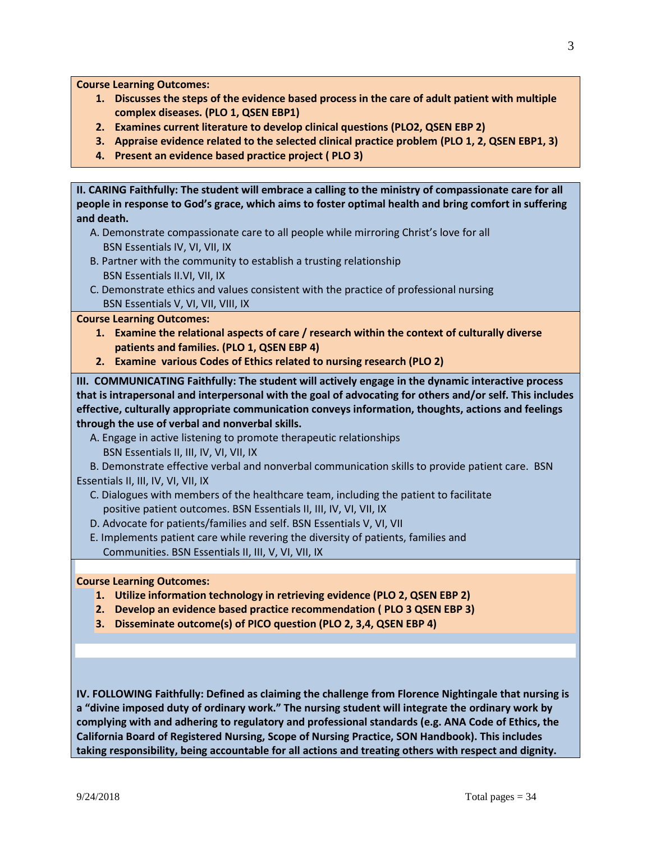**Course Learning Outcomes:**

- **1. Discusses the steps of the evidence based process in the care of adult patient with multiple complex diseases. (PLO 1, QSEN EBP1)**
- **2. Examines current literature to develop clinical questions (PLO2, QSEN EBP 2)**
- **3. Appraise evidence related to the selected clinical practice problem (PLO 1, 2, QSEN EBP1, 3)**
- **4. Present an evidence based practice project ( PLO 3)**

**II. CARING Faithfully: The student will embrace a calling to the ministry of compassionate care for all people in response to God's grace, which aims to foster optimal health and bring comfort in suffering and death.**

- A. Demonstrate compassionate care to all people while mirroring Christ's love for all BSN Essentials IV, VI, VII, IX
- B. Partner with the community to establish a trusting relationship BSN Essentials II.VI, VII, IX
- C. Demonstrate ethics and values consistent with the practice of professional nursing BSN Essentials V, VI, VII, VIII, IX

#### **Course Learning Outcomes:**

- **1. Examine the relational aspects of care / research within the context of culturally diverse patients and families. (PLO 1, QSEN EBP 4)**
- **2. Examine various Codes of Ethics related to nursing research (PLO 2)**

**III. COMMUNICATING Faithfully: The student will actively engage in the dynamic interactive process that is intrapersonal and interpersonal with the goal of advocating for others and/or self. This includes effective, culturally appropriate communication conveys information, thoughts, actions and feelings through the use of verbal and nonverbal skills.**

- A. Engage in active listening to promote therapeutic relationships
- BSN Essentials II, III, IV, VI, VII, IX

 B. Demonstrate effective verbal and nonverbal communication skills to provide patient care. BSN Essentials II, III, IV, VI, VII, IX

- C. Dialogues with members of the healthcare team, including the patient to facilitate positive patient outcomes. BSN Essentials II, III, IV, VI, VII, IX
- D. Advocate for patients/families and self. BSN Essentials V, VI, VII
- E. Implements patient care while revering the diversity of patients, families and Communities. BSN Essentials II, III, V, VI, VII, IX

#### **Course Learning Outcomes:**

- **1. Utilize information technology in retrieving evidence (PLO 2, QSEN EBP 2)**
- **2. Develop an evidence based practice recommendation ( PLO 3 QSEN EBP 3)**
- **3. Disseminate outcome(s) of PICO question (PLO 2, 3,4, QSEN EBP 4)**

**IV. FOLLOWING Faithfully: Defined as claiming the challenge from Florence Nightingale that nursing is a "divine imposed duty of ordinary work." The nursing student will integrate the ordinary work by complying with and adhering to regulatory and professional standards (e.g. ANA Code of Ethics, the California Board of Registered Nursing, Scope of Nursing Practice, SON Handbook). This includes taking responsibility, being accountable for all actions and treating others with respect and dignity.**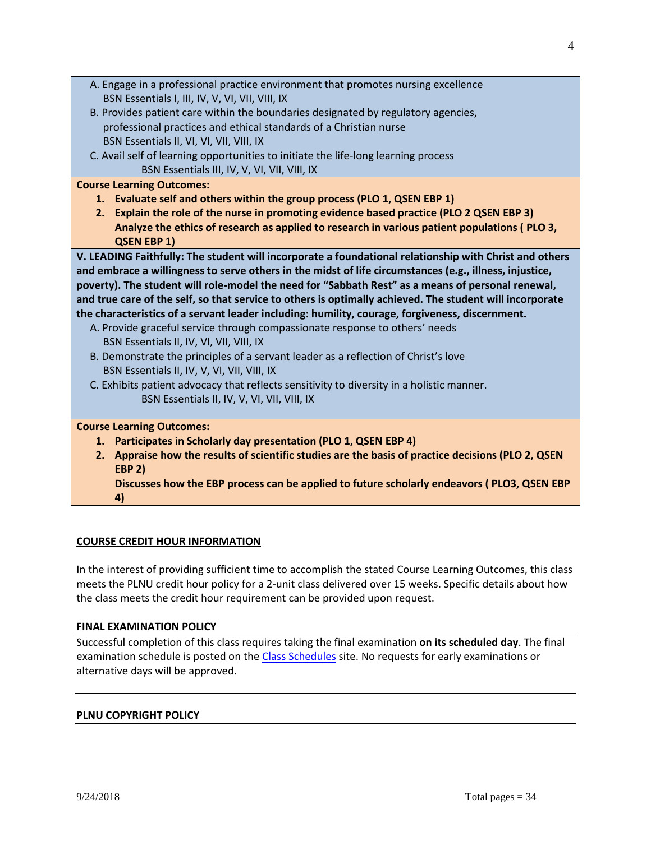| A. Engage in a professional practice environment that promotes nursing excellence                                                        |
|------------------------------------------------------------------------------------------------------------------------------------------|
| BSN Essentials I, III, IV, V, VI, VII, VIII, IX                                                                                          |
| B. Provides patient care within the boundaries designated by regulatory agencies,                                                        |
| professional practices and ethical standards of a Christian nurse                                                                        |
| BSN Essentials II, VI, VI, VII, VIII, IX                                                                                                 |
| C. Avail self of learning opportunities to initiate the life-long learning process                                                       |
| BSN Essentials III, IV, V, VI, VII, VIII, IX                                                                                             |
| <b>Course Learning Outcomes:</b>                                                                                                         |
| 1. Evaluate self and others within the group process (PLO 1, QSEN EBP 1)                                                                 |
| 2. Explain the role of the nurse in promoting evidence based practice (PLO 2 QSEN EBP 3)                                                 |
| Analyze the ethics of research as applied to research in various patient populations (PLO 3,                                             |
| <b>QSEN EBP 1)</b>                                                                                                                       |
| V. LEADING Faithfully: The student will incorporate a foundational relationship with Christ and others                                   |
| and embrace a willingness to serve others in the midst of life circumstances (e.g., illness, injustice,                                  |
| poverty). The student will role-model the need for "Sabbath Rest" as a means of personal renewal,                                        |
| and true care of the self, so that service to others is optimally achieved. The student will incorporate                                 |
| the characteristics of a servant leader including: humility, courage, forgiveness, discernment.                                          |
| A. Provide graceful service through compassionate response to others' needs                                                              |
| BSN Essentials II, IV, VI, VII, VIII, IX                                                                                                 |
| B. Demonstrate the principles of a servant leader as a reflection of Christ's love                                                       |
| BSN Essentials II, IV, V, VI, VII, VIII, IX<br>C. Exhibits patient advocacy that reflects sensitivity to diversity in a holistic manner. |
| BSN Essentials II, IV, V, VI, VII, VIII, IX                                                                                              |
|                                                                                                                                          |
| <b>Course Learning Outcomes:</b>                                                                                                         |
| 1. Participates in Scholarly day presentation (PLO 1, QSEN EBP 4)                                                                        |
| 2. Appraise how the results of scientific studies are the basis of practice decisions (PLO 2, QSEN                                       |
| <b>EBP 2)</b>                                                                                                                            |
| Discusses how the EBP process can be applied to future scholarly endeavors (PLO3, QSEN EBP                                               |
| 4)                                                                                                                                       |

# **COURSE CREDIT HOUR INFORMATION**

In the interest of providing sufficient time to accomplish the stated Course Learning Outcomes, this class meets the PLNU credit hour policy for a 2-unit class delivered over 15 weeks. Specific details about how the class meets the credit hour requirement can be provided upon request.

### **FINAL EXAMINATION POLICY**

Successful completion of this class requires taking the final examination **on its scheduled day**. The final examination schedule is posted on th[e Class Schedules](http://www.pointloma.edu/experience/academics/class-schedules) site. No requests for early examinations or alternative days will be approved.

# **PLNU COPYRIGHT POLICY**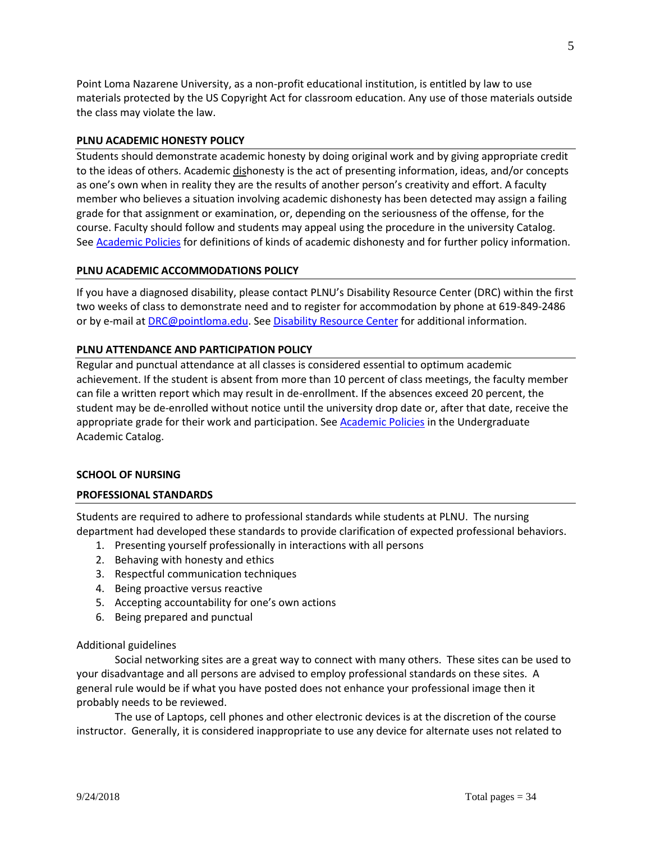Point Loma Nazarene University, as a non-profit educational institution, is entitled by law to use materials protected by the US Copyright Act for classroom education. Any use of those materials outside the class may violate the law.

### **PLNU ACADEMIC HONESTY POLICY**

Students should demonstrate academic honesty by doing original work and by giving appropriate credit to the ideas of others. Academic dishonesty is the act of presenting information, ideas, and/or concepts as one's own when in reality they are the results of another person's creativity and effort. A faculty member who believes a situation involving academic dishonesty has been detected may assign a failing grade for that assignment or examination, or, depending on the seriousness of the offense, for the course. Faculty should follow and students may appeal using the procedure in the university Catalog. Se[e Academic Policies](http://catalog.pointloma.edu/content.php?catoid=18&navoid=1278) for definitions of kinds of academic dishonesty and for further policy information.

### **PLNU ACADEMIC ACCOMMODATIONS POLICY**

If you have a diagnosed disability, please contact PLNU's Disability Resource Center (DRC) within the first two weeks of class to demonstrate need and to register for accommodation by phone at 619-849-2486 or by e-mail at **DRC@pointloma.edu.** See [Disability Resource Center](http://www.pointloma.edu/experience/offices/administrative-offices/academic-advising-office/disability-resource-center) for additional information.

### **PLNU ATTENDANCE AND PARTICIPATION POLICY**

Regular and punctual attendance at all classes is considered essential to optimum academic achievement. If the student is absent from more than 10 percent of class meetings, the faculty member can file a written report which may result in de-enrollment. If the absences exceed 20 percent, the student may be de-enrolled without notice until the university drop date or, after that date, receive the appropriate grade for their work and participation. See [Academic Policies](http://catalog.pointloma.edu/content.php?catoid=18&navoid=1278) in the Undergraduate Academic Catalog.

### **SCHOOL OF NURSING**

### **PROFESSIONAL STANDARDS**

Students are required to adhere to professional standards while students at PLNU. The nursing department had developed these standards to provide clarification of expected professional behaviors.

- 1. Presenting yourself professionally in interactions with all persons
- 2. Behaving with honesty and ethics
- 3. Respectful communication techniques
- 4. Being proactive versus reactive
- 5. Accepting accountability for one's own actions
- 6. Being prepared and punctual

### Additional guidelines

Social networking sites are a great way to connect with many others. These sites can be used to your disadvantage and all persons are advised to employ professional standards on these sites. A general rule would be if what you have posted does not enhance your professional image then it probably needs to be reviewed.

The use of Laptops, cell phones and other electronic devices is at the discretion of the course instructor. Generally, it is considered inappropriate to use any device for alternate uses not related to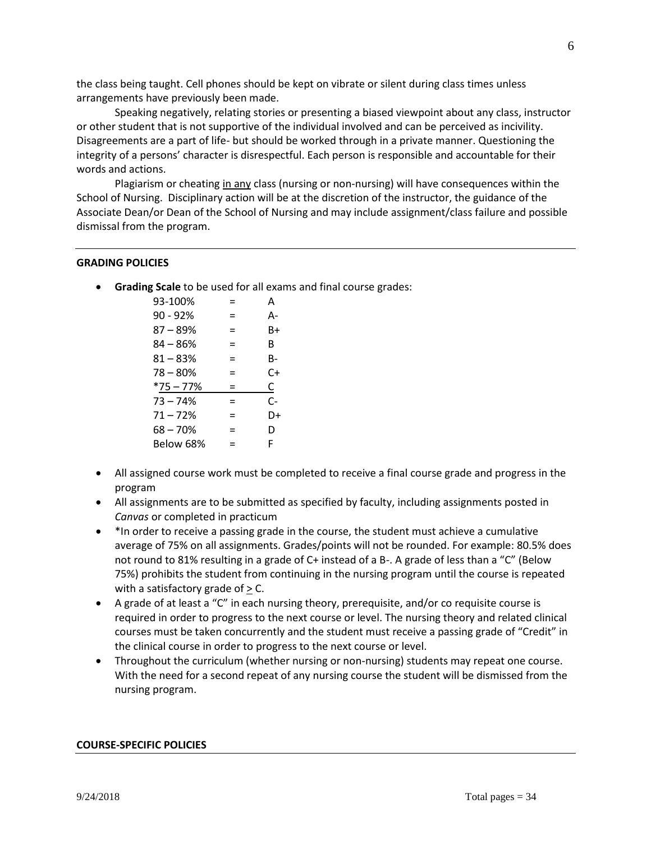the class being taught. Cell phones should be kept on vibrate or silent during class times unless arrangements have previously been made.

Speaking negatively, relating stories or presenting a biased viewpoint about any class, instructor or other student that is not supportive of the individual involved and can be perceived as incivility. Disagreements are a part of life- but should be worked through in a private manner. Questioning the integrity of a persons' character is disrespectful. Each person is responsible and accountable for their words and actions.

Plagiarism or cheating in any class (nursing or non-nursing) will have consequences within the School of Nursing. Disciplinary action will be at the discretion of the instructor, the guidance of the Associate Dean/or Dean of the School of Nursing and may include assignment/class failure and possible dismissal from the program.

# **GRADING POLICIES**

• **Grading Scale** to be used for all exams and final course grades:

| 93-100%     | =   | А  |
|-------------|-----|----|
| $90 - 92%$  | =   | А- |
| 87 – 89%    | =   | B+ |
| 84 – 86%    | =   | R  |
| $81 - 83%$  | =   | B- |
| $78 - 80%$  | =   | C+ |
| $*75 - 77%$ | $=$ | С  |
| $73 - 74%$  | =   | C- |
| $71 - 72%$  | $=$ | D+ |
| $68 - 70%$  | =   | D  |
| Below 68%   | $=$ | F  |
|             |     |    |

- All assigned course work must be completed to receive a final course grade and progress in the program
- All assignments are to be submitted as specified by faculty, including assignments posted in *Canvas* or completed in practicum
- \*In order to receive a passing grade in the course, the student must achieve a cumulative average of 75% on all assignments. Grades/points will not be rounded. For example: 80.5% does not round to 81% resulting in a grade of C+ instead of a B-. A grade of less than a "C" (Below 75%) prohibits the student from continuing in the nursing program until the course is repeated with a satisfactory grade of  $\geq$  C.
- A grade of at least a "C" in each nursing theory, prerequisite, and/or co requisite course is required in order to progress to the next course or level. The nursing theory and related clinical courses must be taken concurrently and the student must receive a passing grade of "Credit" in the clinical course in order to progress to the next course or level.
- Throughout the curriculum (whether nursing or non-nursing) students may repeat one course. With the need for a second repeat of any nursing course the student will be dismissed from the nursing program.

#### **COURSE-SPECIFIC POLICIES**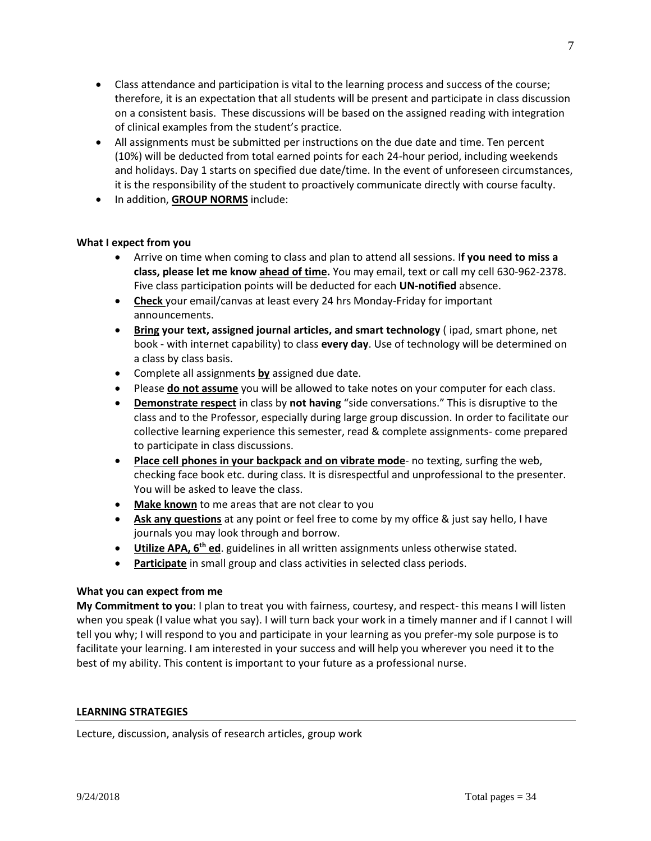- Class attendance and participation is vital to the learning process and success of the course; therefore, it is an expectation that all students will be present and participate in class discussion on a consistent basis. These discussions will be based on the assigned reading with integration of clinical examples from the student's practice.
- All assignments must be submitted per instructions on the due date and time. Ten percent (10%) will be deducted from total earned points for each 24-hour period, including weekends and holidays. Day 1 starts on specified due date/time. In the event of unforeseen circumstances, it is the responsibility of the student to proactively communicate directly with course faculty.
- In addition, **GROUP NORMS** include:

# **What I expect from you**

- Arrive on time when coming to class and plan to attend all sessions. I**f you need to miss a class, please let me know ahead of time.** You may email, text or call my cell 630-962-2378. Five class participation points will be deducted for each **UN-notified** absence.
- **Check** your email/canvas at least every 24 hrs Monday-Friday for important announcements.
- **Bring your text, assigned journal articles, and smart technology** ( ipad, smart phone, net book - with internet capability) to class **every day**. Use of technology will be determined on a class by class basis.
- Complete all assignments **by** assigned due date.
- Please **do not assume** you will be allowed to take notes on your computer for each class.
- **Demonstrate respect** in class by **not having** "side conversations." This is disruptive to the class and to the Professor, especially during large group discussion. In order to facilitate our collective learning experience this semester, read & complete assignments- come prepared to participate in class discussions.
- **Place cell phones in your backpack and on vibrate mode** no texting, surfing the web, checking face book etc. during class. It is disrespectful and unprofessional to the presenter. You will be asked to leave the class.
- **Make known** to me areas that are not clear to you
- **Ask any questions** at any point or feel free to come by my office & just say hello, I have journals you may look through and borrow.
- **Utilize APA, 6th ed**. guidelines in all written assignments unless otherwise stated.
- **Participate** in small group and class activities in selected class periods.

# **What you can expect from me**

**My Commitment to you**: I plan to treat you with fairness, courtesy, and respect- this means I will listen when you speak (I value what you say). I will turn back your work in a timely manner and if I cannot I will tell you why; I will respond to you and participate in your learning as you prefer-my sole purpose is to facilitate your learning. I am interested in your success and will help you wherever you need it to the best of my ability. This content is important to your future as a professional nurse.

# **LEARNING STRATEGIES**

Lecture, discussion, analysis of research articles, group work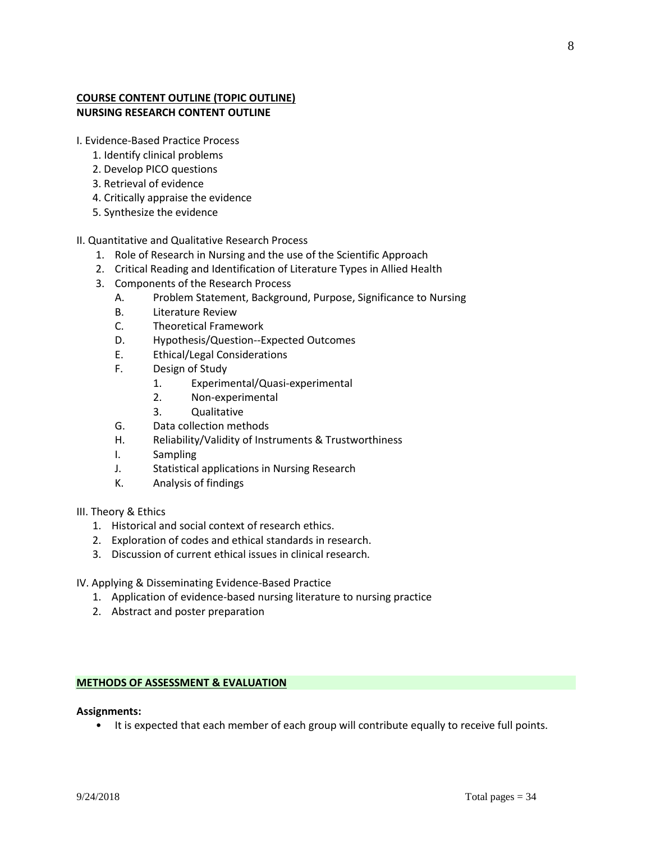# **COURSE CONTENT OUTLINE (TOPIC OUTLINE) NURSING RESEARCH CONTENT OUTLINE**

I. Evidence-Based Practice Process

- 1. Identify clinical problems
- 2. Develop PICO questions
- 3. Retrieval of evidence
- 4. Critically appraise the evidence
- 5. Synthesize the evidence
- II. Quantitative and Qualitative Research Process
	- 1. Role of Research in Nursing and the use of the Scientific Approach
	- 2. Critical Reading and Identification of Literature Types in Allied Health
	- 3. Components of the Research Process
		- A. Problem Statement, Background, Purpose, Significance to Nursing
		- B. Literature Review
		- C. Theoretical Framework
		- D. Hypothesis/Question--Expected Outcomes
		- E. Ethical/Legal Considerations
		- F. Design of Study
			- 1. Experimental/Quasi-experimental
			- 2. Non-experimental
			- 3. Qualitative
		- G. Data collection methods
		- H. Reliability/Validity of Instruments & Trustworthiness
		- I. Sampling
		- J. Statistical applications in Nursing Research
		- K. Analysis of findings
- III. Theory & Ethics
	- 1. Historical and social context of research ethics.
	- 2. Exploration of codes and ethical standards in research.
	- 3. Discussion of current ethical issues in clinical research.
- IV. Applying & Disseminating Evidence-Based Practice
	- 1. Application of evidence-based nursing literature to nursing practice
	- 2. Abstract and poster preparation

# **METHODS OF ASSESSMENT & EVALUATION**

### **Assignments:**

• It is expected that each member of each group will contribute equally to receive full points.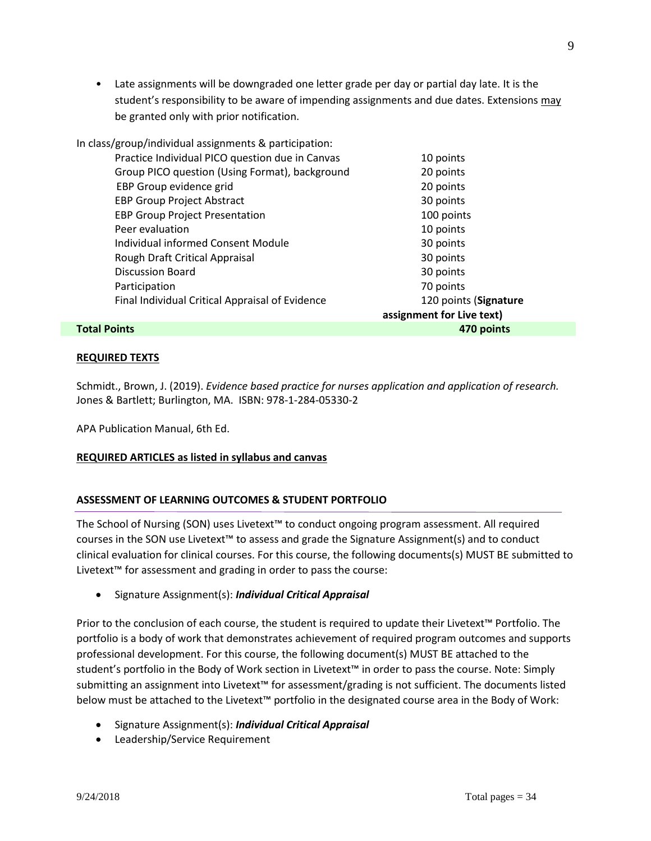• Late assignments will be downgraded one letter grade per day or partial day late. It is the student's responsibility to be aware of impending assignments and due dates. Extensions may be granted only with prior notification.

| In class/group/individual assignments & participation: |                           |
|--------------------------------------------------------|---------------------------|
| Practice Individual PICO question due in Canvas        | 10 points                 |
| Group PICO question (Using Format), background         | 20 points                 |
| EBP Group evidence grid                                | 20 points                 |
| <b>EBP Group Project Abstract</b>                      | 30 points                 |
| <b>EBP Group Project Presentation</b>                  | 100 points                |
| Peer evaluation                                        | 10 points                 |
| Individual informed Consent Module                     | 30 points                 |
| Rough Draft Critical Appraisal                         | 30 points                 |
| <b>Discussion Board</b>                                | 30 points                 |
| Participation                                          | 70 points                 |
| Final Individual Critical Appraisal of Evidence        | 120 points (Signature     |
|                                                        | assignment for Live text) |
| <b>Total Points</b>                                    | 470 points                |

# **REQUIRED TEXTS**

Schmidt., Brown, J. (2019). *Evidence based practice for nurses application and application of research.*  Jones & Bartlett; Burlington, MA. ISBN: 978-1-284-05330-2

APA Publication Manual, 6th Ed.

# **REQUIRED ARTICLES as listed in syllabus and canvas**

# **ASSESSMENT OF LEARNING OUTCOMES & STUDENT PORTFOLIO**

The School of Nursing (SON) uses Livetext™ to conduct ongoing program assessment. All required courses in the SON use Livetext™ to assess and grade the Signature Assignment(s) and to conduct clinical evaluation for clinical courses. For this course, the following documents(s) MUST BE submitted to Livetext™ for assessment and grading in order to pass the course:

• Signature Assignment(s): *Individual Critical Appraisal*

Prior to the conclusion of each course, the student is required to update their Livetext™ Portfolio. The portfolio is a body of work that demonstrates achievement of required program outcomes and supports professional development. For this course, the following document(s) MUST BE attached to the student's portfolio in the Body of Work section in Livetext™ in order to pass the course. Note: Simply submitting an assignment into Livetext™ for assessment/grading is not sufficient. The documents listed below must be attached to the Livetext™ portfolio in the designated course area in the Body of Work:

- Signature Assignment(s): *Individual Critical Appraisal*
- Leadership/Service Requirement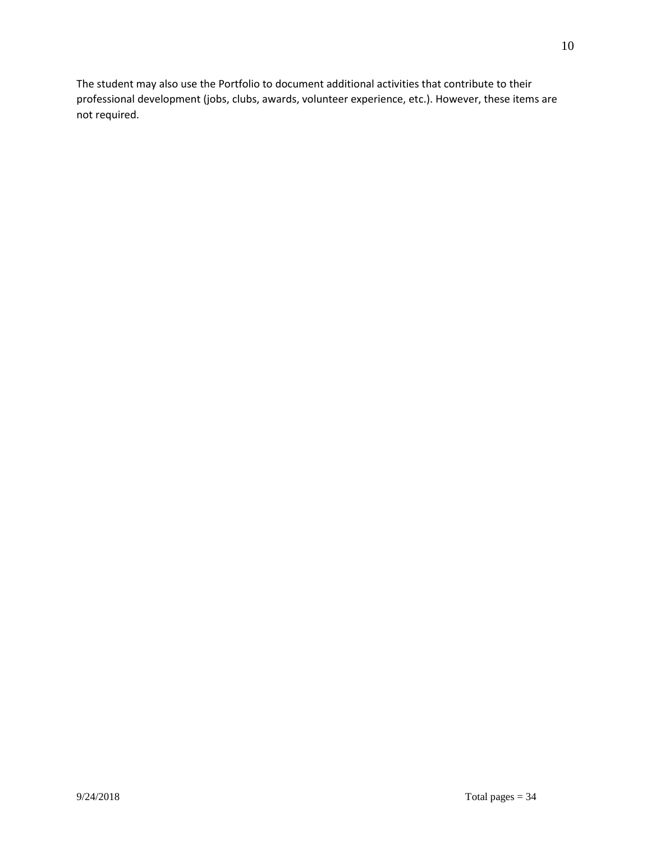The student may also use the Portfolio to document additional activities that contribute to their professional development (jobs, clubs, awards, volunteer experience, etc.). However, these items are not required.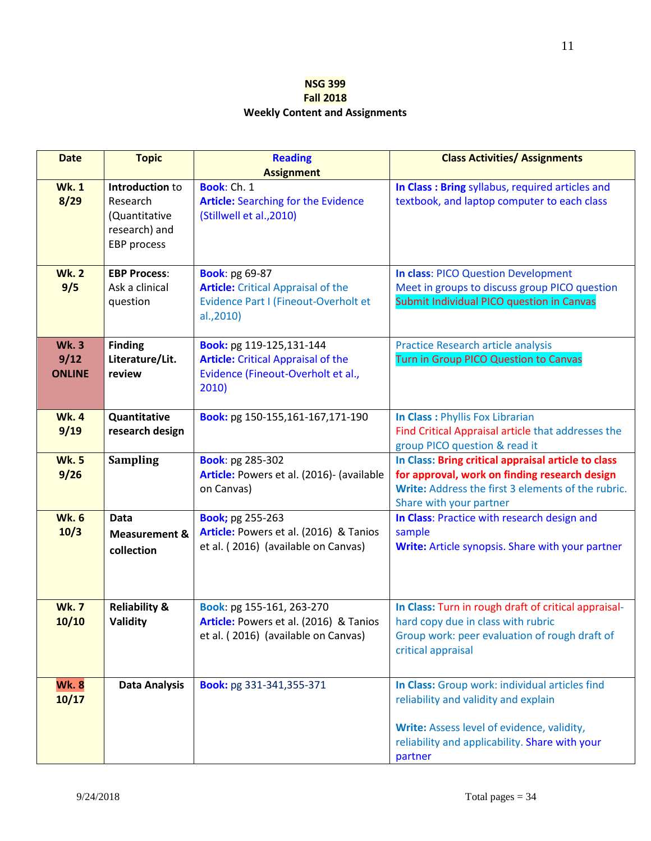# **NSG 399 Fall 2018 Weekly Content and Assignments**

| <b>Date</b>                          | <b>Topic</b>                                                                        | <b>Reading</b><br><b>Assignment</b>                                                                                      | <b>Class Activities/ Assignments</b>                                                                                                                                                              |
|--------------------------------------|-------------------------------------------------------------------------------------|--------------------------------------------------------------------------------------------------------------------------|---------------------------------------------------------------------------------------------------------------------------------------------------------------------------------------------------|
| <b>Wk.1</b><br>8/29                  | Introduction to<br>Research<br>(Quantitative<br>research) and<br><b>EBP</b> process | Book: Ch. 1<br><b>Article:</b> Searching for the Evidence<br>(Stillwell et al., 2010)                                    | In Class: Bring syllabus, required articles and<br>textbook, and laptop computer to each class                                                                                                    |
| <b>Wk.2</b><br>9/5                   | <b>EBP Process:</b><br>Ask a clinical<br>question                                   | <b>Book: pg 69-87</b><br><b>Article:</b> Critical Appraisal of the<br>Evidence Part I (Fineout-Overholt et<br>al., 2010) | <b>In class: PICO Question Development</b><br>Meet in groups to discuss group PICO question<br>Submit Individual PICO question in Canvas                                                          |
| <b>Wk.3</b><br>9/12<br><b>ONLINE</b> | <b>Finding</b><br>Literature/Lit.<br>review                                         | Book: pg 119-125,131-144<br><b>Article:</b> Critical Appraisal of the<br>Evidence (Fineout-Overholt et al.,<br>2010)     | <b>Practice Research article analysis</b><br>Turn in Group PICO Question to Canvas                                                                                                                |
| <b>Wk.4</b><br>9/19                  | Quantitative<br>research design                                                     | Book: pg 150-155,161-167,171-190                                                                                         | In Class : Phyllis Fox Librarian<br>Find Critical Appraisal article that addresses the<br>group PICO question & read it                                                                           |
| <b>Wk.5</b><br>9/26                  | <b>Sampling</b>                                                                     | <b>Book: pg 285-302</b><br>Article: Powers et al. (2016)- (available<br>on Canvas)                                       | In Class: Bring critical appraisal article to class<br>for approval, work on finding research design<br>Write: Address the first 3 elements of the rubric.<br>Share with your partner             |
| <b>Wk.6</b><br>10/3                  | Data<br><b>Measurement &amp;</b><br>collection                                      | <b>Book; pg 255-263</b><br>Article: Powers et al. (2016) & Tanios<br>et al. (2016) (available on Canvas)                 | In Class: Practice with research design and<br>sample<br>Write: Article synopsis. Share with your partner                                                                                         |
| <b>Wk.7</b><br>10/10                 | <b>Reliability &amp;</b><br>Validity                                                | Book: pg 155-161, 263-270<br>Article: Powers et al. (2016) & Tanios<br>et al. (2016) (available on Canvas)               | In Class: Turn in rough draft of critical appraisal-<br>hard copy due in class with rubric<br>Group work: peer evaluation of rough draft of<br>critical appraisal                                 |
| <b>Wk.8</b><br>10/17                 | <b>Data Analysis</b>                                                                | Book: pg 331-341,355-371                                                                                                 | In Class: Group work: individual articles find<br>reliability and validity and explain<br>Write: Assess level of evidence, validity,<br>reliability and applicability. Share with your<br>partner |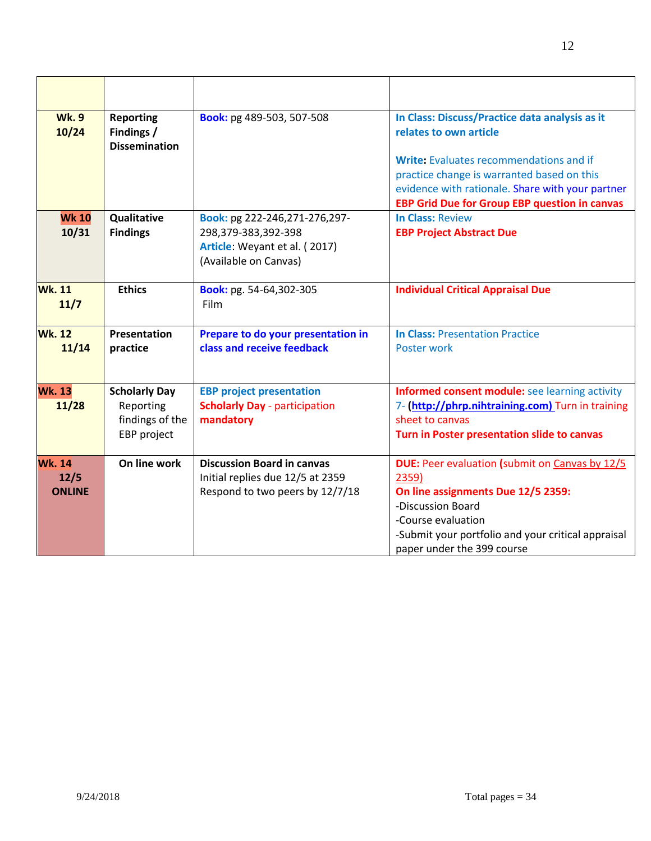| <b>Wk.9</b><br>10/24                   | <b>Reporting</b><br>Findings /<br><b>Dissemination</b>              | Book: pg 489-503, 507-508                                                                                      | In Class: Discuss/Practice data analysis as it<br>relates to own article<br>Write: Evaluates recommendations and if<br>practice change is warranted based on this<br>evidence with rationale. Share with your partner<br><b>EBP Grid Due for Group EBP question in canvas</b> |
|----------------------------------------|---------------------------------------------------------------------|----------------------------------------------------------------------------------------------------------------|-------------------------------------------------------------------------------------------------------------------------------------------------------------------------------------------------------------------------------------------------------------------------------|
| <b>Wk 10</b><br>10/31                  | Qualitative<br><b>Findings</b>                                      | Book: pg 222-246,271-276,297-<br>298,379-383,392-398<br>Article: Weyant et al. (2017)<br>(Available on Canvas) | <b>In Class: Review</b><br><b>EBP Project Abstract Due</b>                                                                                                                                                                                                                    |
| <b>Wk.11</b><br>11/7                   | <b>Ethics</b>                                                       | Book: pg. 54-64,302-305<br>Film                                                                                | <b>Individual Critical Appraisal Due</b>                                                                                                                                                                                                                                      |
| <b>Wk. 12</b><br>11/14                 | Presentation<br>practice                                            | Prepare to do your presentation in<br>class and receive feedback                                               | <b>In Class: Presentation Practice</b><br>Poster work                                                                                                                                                                                                                         |
| <b>Wk. 13</b><br>11/28                 | <b>Scholarly Day</b><br>Reporting<br>findings of the<br>EBP project | <b>EBP project presentation</b><br><b>Scholarly Day - participation</b><br>mandatory                           | Informed consent module: see learning activity<br>7- (http://phrp.nihtraining.com) Turn in training<br>sheet to canvas<br>Turn in Poster presentation slide to canvas                                                                                                         |
| <b>Wk. 14</b><br>12/5<br><b>ONLINE</b> | On line work                                                        | <b>Discussion Board in canvas</b><br>Initial replies due 12/5 at 2359<br>Respond to two peers by 12/7/18       | <b>DUE:</b> Peer evaluation (submit on Canvas by 12/5<br>2359)<br>On line assignments Due 12/5 2359:<br>-Discussion Board<br>-Course evaluation<br>-Submit your portfolio and your critical appraisal<br>paper under the 399 course                                           |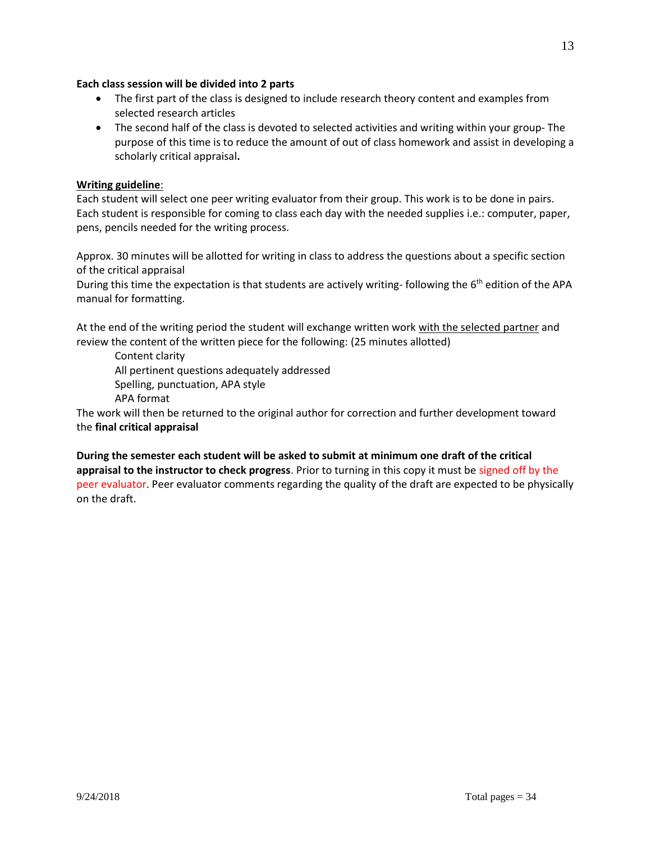# **Each class session will be divided into 2 parts**

- The first part of the class is designed to include research theory content and examples from selected research articles
- The second half of the class is devoted to selected activities and writing within your group- The purpose of this time is to reduce the amount of out of class homework and assist in developing a scholarly critical appraisal**.**

# **Writing guideline**:

Each student will select one peer writing evaluator from their group. This work is to be done in pairs. Each student is responsible for coming to class each day with the needed supplies i.e.: computer, paper, pens, pencils needed for the writing process.

Approx. 30 minutes will be allotted for writing in class to address the questions about a specific section of the critical appraisal

During this time the expectation is that students are actively writing-following the 6<sup>th</sup> edition of the APA manual for formatting.

At the end of the writing period the student will exchange written work with the selected partner and review the content of the written piece for the following: (25 minutes allotted)

Content clarity All pertinent questions adequately addressed Spelling, punctuation, APA style APA format

The work will then be returned to the original author for correction and further development toward the **final critical appraisal** 

**During the semester each student will be asked to submit at minimum one draft of the critical appraisal to the instructor to check progress**. Prior to turning in this copy it must be signed off by the peer evaluator. Peer evaluator comments regarding the quality of the draft are expected to be physically on the draft.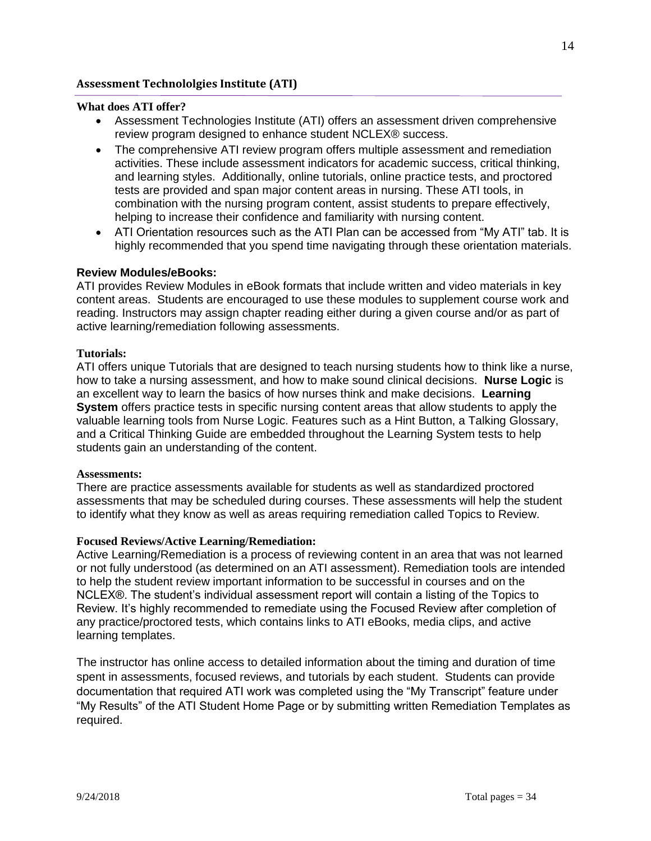# **Assessment Technololgies Institute (ATI)**

# **What does ATI offer?**

- Assessment Technologies Institute (ATI) offers an assessment driven comprehensive review program designed to enhance student NCLEX® success.
- The comprehensive ATI review program offers multiple assessment and remediation activities. These include assessment indicators for academic success, critical thinking, and learning styles. Additionally, online tutorials, online practice tests, and proctored tests are provided and span major content areas in nursing. These ATI tools, in combination with the nursing program content, assist students to prepare effectively, helping to increase their confidence and familiarity with nursing content.
- ATI Orientation resources such as the ATI Plan can be accessed from "My ATI" tab. It is highly recommended that you spend time navigating through these orientation materials.

# **Review Modules/eBooks:**

ATI provides Review Modules in eBook formats that include written and video materials in key content areas. Students are encouraged to use these modules to supplement course work and reading. Instructors may assign chapter reading either during a given course and/or as part of active learning/remediation following assessments.

# **Tutorials:**

ATI offers unique Tutorials that are designed to teach nursing students how to think like a nurse, how to take a nursing assessment, and how to make sound clinical decisions. **Nurse Logic** is an excellent way to learn the basics of how nurses think and make decisions. **Learning System** offers practice tests in specific nursing content areas that allow students to apply the valuable learning tools from Nurse Logic. Features such as a Hint Button, a Talking Glossary, and a Critical Thinking Guide are embedded throughout the Learning System tests to help students gain an understanding of the content.

# **Assessments:**

There are practice assessments available for students as well as standardized proctored assessments that may be scheduled during courses. These assessments will help the student to identify what they know as well as areas requiring remediation called Topics to Review.

# **Focused Reviews/Active Learning/Remediation:**

Active Learning/Remediation is a process of reviewing content in an area that was not learned or not fully understood (as determined on an ATI assessment). Remediation tools are intended to help the student review important information to be successful in courses and on the NCLEX®. The student's individual assessment report will contain a listing of the Topics to Review. It's highly recommended to remediate using the Focused Review after completion of any practice/proctored tests, which contains links to ATI eBooks, media clips, and active learning templates.

The instructor has online access to detailed information about the timing and duration of time spent in assessments, focused reviews, and tutorials by each student. Students can provide documentation that required ATI work was completed using the "My Transcript" feature under "My Results" of the ATI Student Home Page or by submitting written Remediation Templates as required.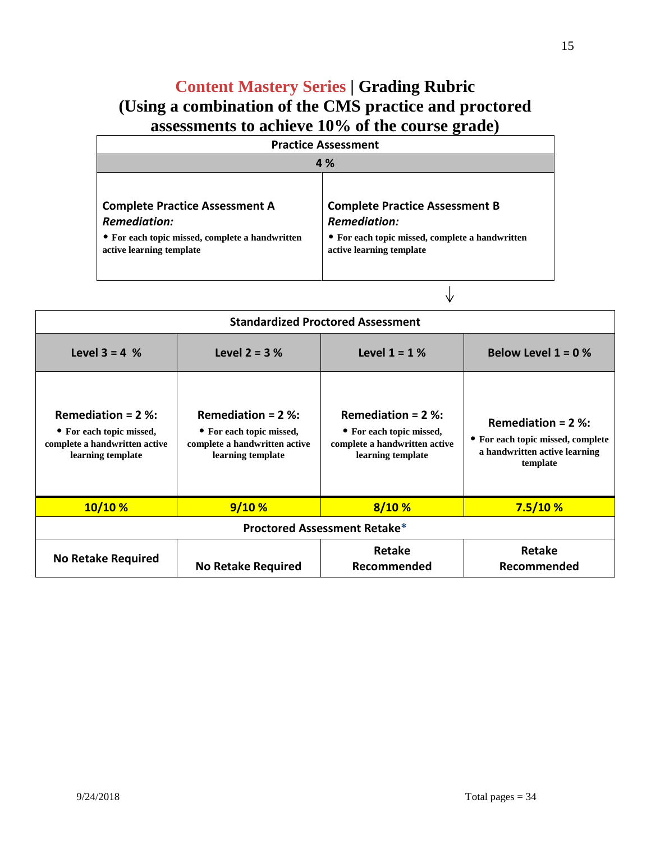# **Content Mastery Series | Grading Rubric (Using a combination of the CMS practice and proctored assessments to achieve 10% of the course grade)**

| <b>Practice Assessment</b>                                                                                                                  |                                                                                                                                             |  |
|---------------------------------------------------------------------------------------------------------------------------------------------|---------------------------------------------------------------------------------------------------------------------------------------------|--|
|                                                                                                                                             | 4 %                                                                                                                                         |  |
| <b>Complete Practice Assessment A</b><br><b>Remediation:</b><br>• For each topic missed, complete a handwritten<br>active learning template | <b>Complete Practice Assessment B</b><br><b>Remediation:</b><br>• For each topic missed, complete a handwritten<br>active learning template |  |

 $\downarrow$ 

| <b>Standardized Proctored Assessment</b>                                                               |                                                                                                         |                                                                                                        |                                                                                                        |
|--------------------------------------------------------------------------------------------------------|---------------------------------------------------------------------------------------------------------|--------------------------------------------------------------------------------------------------------|--------------------------------------------------------------------------------------------------------|
| <b>Level 3 = 4 %</b>                                                                                   | <b>Level 2 = 3 %</b>                                                                                    | Level $1 = 1%$                                                                                         | Below Level $1 = 0$ %                                                                                  |
| Remediation = $2$ %:<br>• For each topic missed,<br>complete a handwritten active<br>learning template | Remediation = $2\%$ :<br>• For each topic missed,<br>complete a handwritten active<br>learning template | Remediation = $2$ %:<br>• For each topic missed,<br>complete a handwritten active<br>learning template | Remediation = $2$ %:<br>• For each topic missed, complete<br>a handwritten active learning<br>template |
| 10/10%                                                                                                 | 9/10%                                                                                                   | 8/10%                                                                                                  | 7.5/10%                                                                                                |
| Proctored Assessment Retake*                                                                           |                                                                                                         |                                                                                                        |                                                                                                        |
| <b>No Retake Required</b>                                                                              | <b>No Retake Required</b>                                                                               | Retake<br>Recommended                                                                                  | Retake<br>Recommended                                                                                  |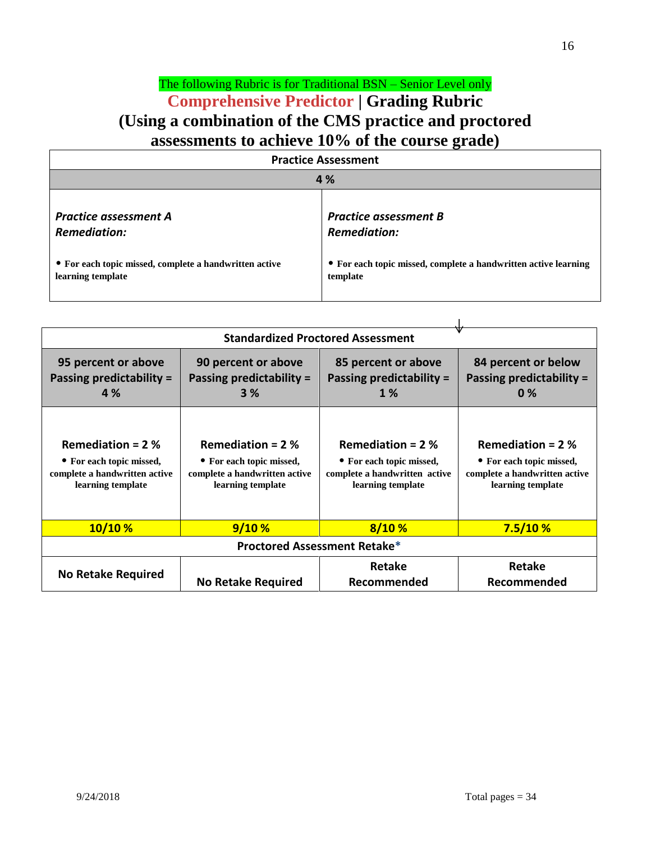# The following Rubric is for Traditional BSN – Senior Level only **Comprehensive Predictor | Grading Rubric (Using a combination of the CMS practice and proctored assessments to achieve 10% of the course grade)**

| <b>Practice Assessment</b>                             |                                                                 |  |  |
|--------------------------------------------------------|-----------------------------------------------------------------|--|--|
|                                                        | 4 %                                                             |  |  |
| <b>Practice assessment A</b>                           | <b>Practice assessment B</b>                                    |  |  |
| <b>Remediation:</b>                                    | <b>Remediation:</b>                                             |  |  |
| • For each topic missed, complete a handwritten active | • For each topic missed, complete a handwritten active learning |  |  |
| learning template                                      | template                                                        |  |  |

| 95 percent or above<br>Passing predictability =<br><b>4</b> %                                        | 90 percent or above<br>Passing predictability =<br>3%                                                | 85 percent or above<br>Passing predictability =<br><b>1</b> %                                        | 84 percent or below<br>Passing predictability =<br>0%                                                |
|------------------------------------------------------------------------------------------------------|------------------------------------------------------------------------------------------------------|------------------------------------------------------------------------------------------------------|------------------------------------------------------------------------------------------------------|
| Remediation = $2%$<br>• For each topic missed,<br>complete a handwritten active<br>learning template | Remediation = $2%$<br>• For each topic missed,<br>complete a handwritten active<br>learning template | Remediation = $2%$<br>• For each topic missed,<br>complete a handwritten active<br>learning template | Remediation = $2%$<br>• For each topic missed,<br>complete a handwritten active<br>learning template |
| 10/10%                                                                                               | 9/10%                                                                                                | 8/10%                                                                                                | 7.5/10%                                                                                              |
| Proctored Assessment Retake*                                                                         |                                                                                                      |                                                                                                      |                                                                                                      |
| <b>No Retake Required</b>                                                                            | <b>No Retake Required</b>                                                                            | Retake<br>Recommended                                                                                | Retake<br>Recommended                                                                                |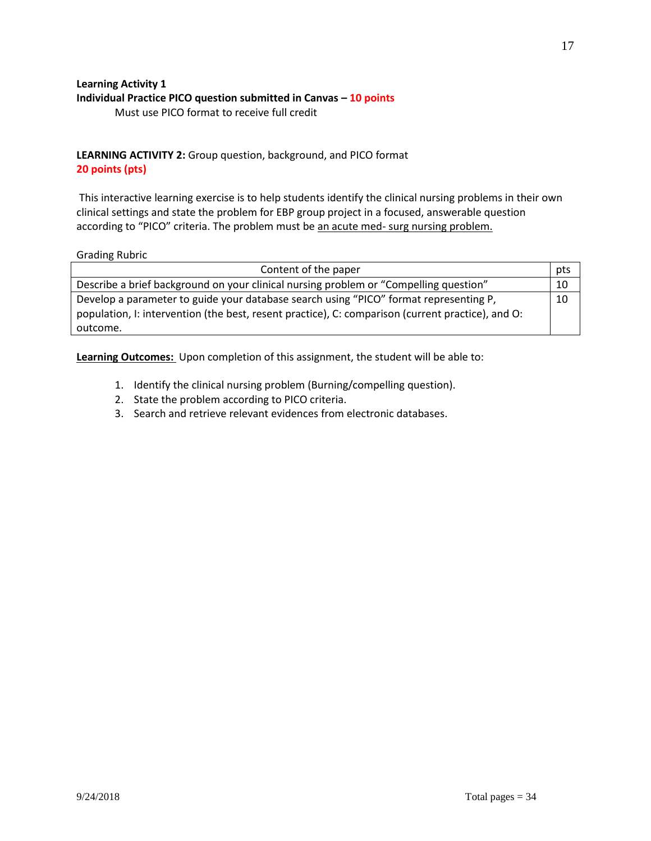### **Learning Activity 1 Individual Practice PICO question submitted in Canvas – 10 points** Must use PICO format to receive full credit

**LEARNING ACTIVITY 2:** Group question, background, and PICO format **20 points (pts)**

This interactive learning exercise is to help students identify the clinical nursing problems in their own clinical settings and state the problem for EBP group project in a focused, answerable question according to "PICO" criteria. The problem must be an acute med- surg nursing problem.

### Grading Rubric

| Content of the paper                                                                              | pts |
|---------------------------------------------------------------------------------------------------|-----|
| Describe a brief background on your clinical nursing problem or "Compelling question"             | 10  |
| Develop a parameter to guide your database search using "PICO" format representing P,             | 10  |
| population, I: intervention (the best, resent practice), C: comparison (current practice), and O: |     |
| outcome.                                                                                          |     |

**Learning Outcomes:** Upon completion of this assignment, the student will be able to:

- 1. Identify the clinical nursing problem (Burning/compelling question).
- 2. State the problem according to PICO criteria.
- 3. Search and retrieve relevant evidences from electronic databases.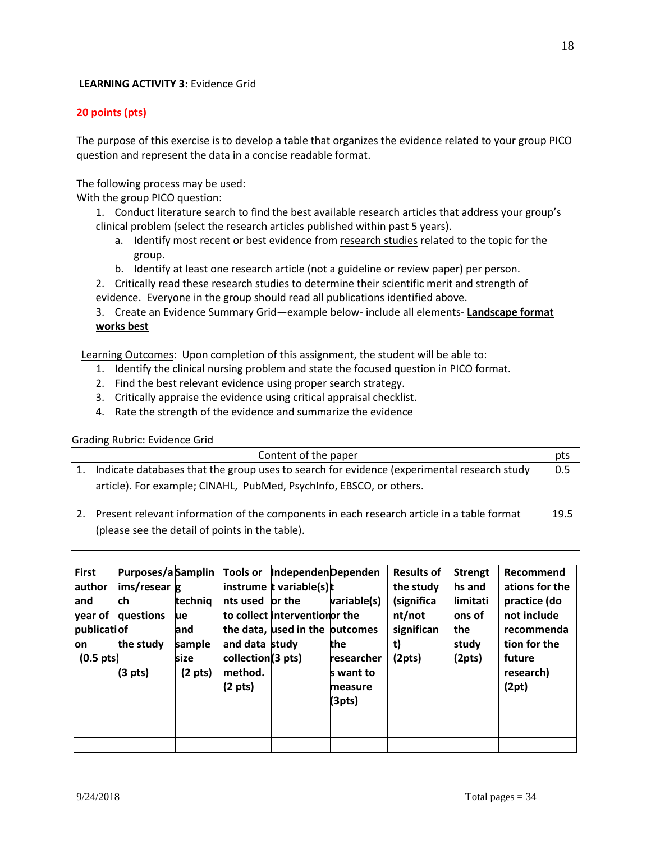# **LEARNING ACTIVITY 3:** Evidence Grid

# **20 points (pts)**

The purpose of this exercise is to develop a table that organizes the evidence related to your group PICO question and represent the data in a concise readable format.

The following process may be used:

With the group PICO question:

- 1. Conduct literature search to find the best available research articles that address your group's clinical problem (select the research articles published within past 5 years).
	- a. Identify most recent or best evidence from research studies related to the topic for the group.
	- b. Identify at least one research article (not a guideline or review paper) per person.
- 2. Critically read these research studies to determine their scientific merit and strength of
- evidence. Everyone in the group should read all publications identified above.

3. Create an Evidence Summary Grid—example below- include all elements- **Landscape format works best**

Learning Outcomes: Upon completion of this assignment, the student will be able to:

- 1. Identify the clinical nursing problem and state the focused question in PICO format.
- 2. Find the best relevant evidence using proper search strategy.
- 3. Critically appraise the evidence using critical appraisal checklist.
- 4. Rate the strength of the evidence and summarize the evidence

# Grading Rubric: Evidence Grid

| Content of the paper                                                                         | pts  |
|----------------------------------------------------------------------------------------------|------|
| Indicate databases that the group uses to search for evidence (experimental research study   | 0.5  |
| article). For example; CINAHL, PubMed, PsychInfo, EBSCO, or others.                          |      |
| 2. Present relevant information of the components in each research article in a table format | 19.5 |
| (please see the detail of points in the table).                                              |      |

| First               | Purposes/a Samplin |                   | <b>Tools or</b>   | IndependenDependen             |             | <b>Results of</b> | <b>Strengt</b> | Recommend      |
|---------------------|--------------------|-------------------|-------------------|--------------------------------|-------------|-------------------|----------------|----------------|
| lauthor             | ims/resear g       |                   |                   | instrume t variable(s)t        |             | the study         | hs and         | ations for the |
| land                | ch                 | technig           | nts used or the   |                                | variable(s) | (significa        | limitati       | practice (do   |
| year of             | questions          | ue                |                   | to collect interventionor the  |             | nt/not            | ons of         | not include    |
| publicatiof         |                    | land              |                   | the data, used in the outcomes |             | significan        | the            | recommenda     |
| lon                 | the study          | sample            | and data study    |                                | the         | t)                | study          | tion for the   |
| $(0.5 \text{ pts})$ |                    | size              | collection(3 pts) |                                | researcher  | (2pts)            | (2pts)         | future         |
|                     | $(3 \text{ pts})$  | $(2 \text{ pts})$ | method.           |                                | s want to   |                   |                | research)      |
|                     |                    |                   | $(2 \text{ pts})$ |                                | measure     |                   |                | (2pt)          |
|                     |                    |                   |                   |                                | (3pts)      |                   |                |                |
|                     |                    |                   |                   |                                |             |                   |                |                |
|                     |                    |                   |                   |                                |             |                   |                |                |
|                     |                    |                   |                   |                                |             |                   |                |                |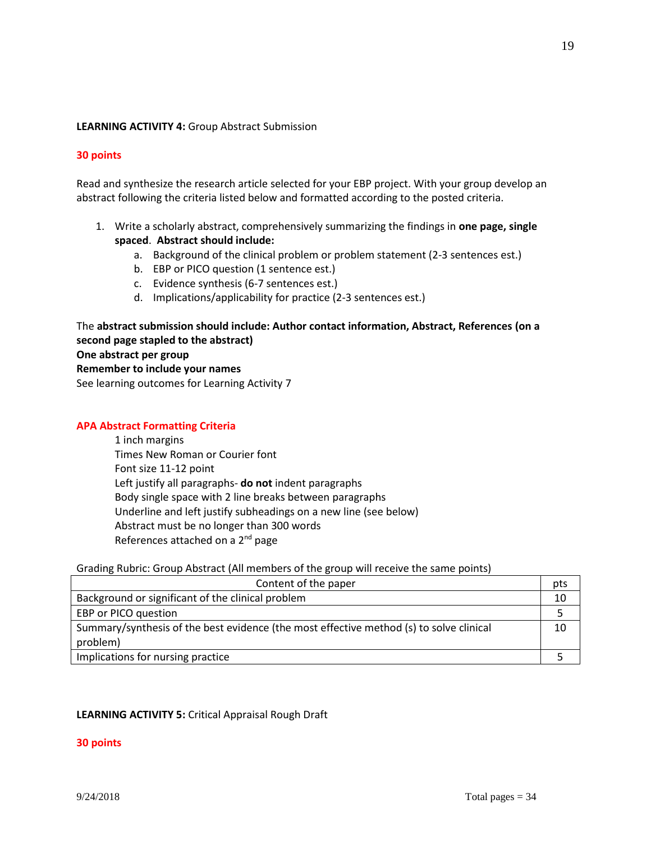### **LEARNING ACTIVITY 4:** Group Abstract Submission

### **30 points**

Read and synthesize the research article selected for your EBP project. With your group develop an abstract following the criteria listed below and formatted according to the posted criteria.

- 1. Write a scholarly abstract, comprehensively summarizing the findings in **one page, single spaced**. **Abstract should include:**
	- a. Background of the clinical problem or problem statement (2-3 sentences est.)
	- b. EBP or PICO question (1 sentence est.)
	- c. Evidence synthesis (6-7 sentences est.)
	- d. Implications/applicability for practice (2-3 sentences est.)

The **abstract submission should include: Author contact information, Abstract, References (on a second page stapled to the abstract) One abstract per group Remember to include your names**  See learning outcomes for Learning Activity 7

### **APA Abstract Formatting Criteria**

1 inch margins Times New Roman or Courier font Font size 11-12 point Left justify all paragraphs- **do not** indent paragraphs Body single space with 2 line breaks between paragraphs Underline and left justify subheadings on a new line (see below) Abstract must be no longer than 300 words References attached on a 2<sup>nd</sup> page

### Grading Rubric: Group Abstract (All members of the group will receive the same points)

| Content of the paper                                                                    | pts |
|-----------------------------------------------------------------------------------------|-----|
| Background or significant of the clinical problem                                       | 10  |
| EBP or PICO question                                                                    |     |
| Summary/synthesis of the best evidence (the most effective method (s) to solve clinical | 10  |
| problem)                                                                                |     |
| Implications for nursing practice                                                       |     |

### **LEARNING ACTIVITY 5:** Critical Appraisal Rough Draft

### **30 points**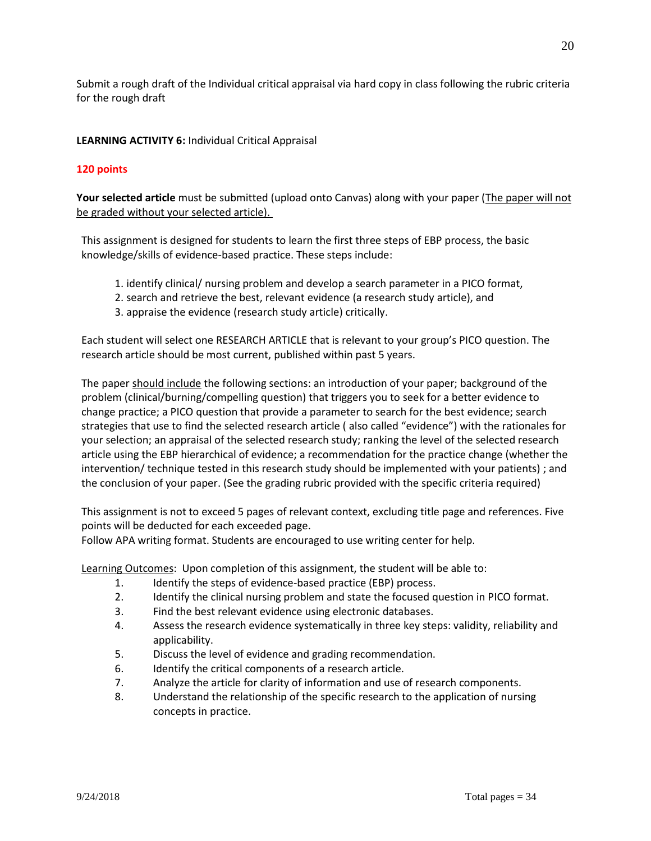Submit a rough draft of the Individual critical appraisal via hard copy in class following the rubric criteria for the rough draft

# **LEARNING ACTIVITY 6:** Individual Critical Appraisal

# **120 points**

Your selected article must be submitted (upload onto Canvas) along with your paper (The paper will not be graded without your selected article).

This assignment is designed for students to learn the first three steps of EBP process, the basic knowledge/skills of evidence-based practice. These steps include:

- 1. identify clinical/ nursing problem and develop a search parameter in a PICO format,
- 2. search and retrieve the best, relevant evidence (a research study article), and
- 3. appraise the evidence (research study article) critically.

Each student will select one RESEARCH ARTICLE that is relevant to your group's PICO question. The research article should be most current, published within past 5 years.

The paper should include the following sections: an introduction of your paper; background of the problem (clinical/burning/compelling question) that triggers you to seek for a better evidence to change practice; a PICO question that provide a parameter to search for the best evidence; search strategies that use to find the selected research article ( also called "evidence") with the rationales for your selection; an appraisal of the selected research study; ranking the level of the selected research article using the EBP hierarchical of evidence; a recommendation for the practice change (whether the intervention/ technique tested in this research study should be implemented with your patients) ; and the conclusion of your paper. (See the grading rubric provided with the specific criteria required)

This assignment is not to exceed 5 pages of relevant context, excluding title page and references. Five points will be deducted for each exceeded page.

Follow APA writing format. Students are encouraged to use writing center for help.

Learning Outcomes: Upon completion of this assignment, the student will be able to:

- 1. Identify the steps of evidence-based practice (EBP) process.
- 2. Identify the clinical nursing problem and state the focused question in PICO format.
- 3. Find the best relevant evidence using electronic databases.
- 4. Assess the research evidence systematically in three key steps: validity, reliability and applicability.
- 5. Discuss the level of evidence and grading recommendation.
- 6. Identify the critical components of a research article.
- 7. Analyze the article for clarity of information and use of research components.
- 8. Understand the relationship of the specific research to the application of nursing concepts in practice.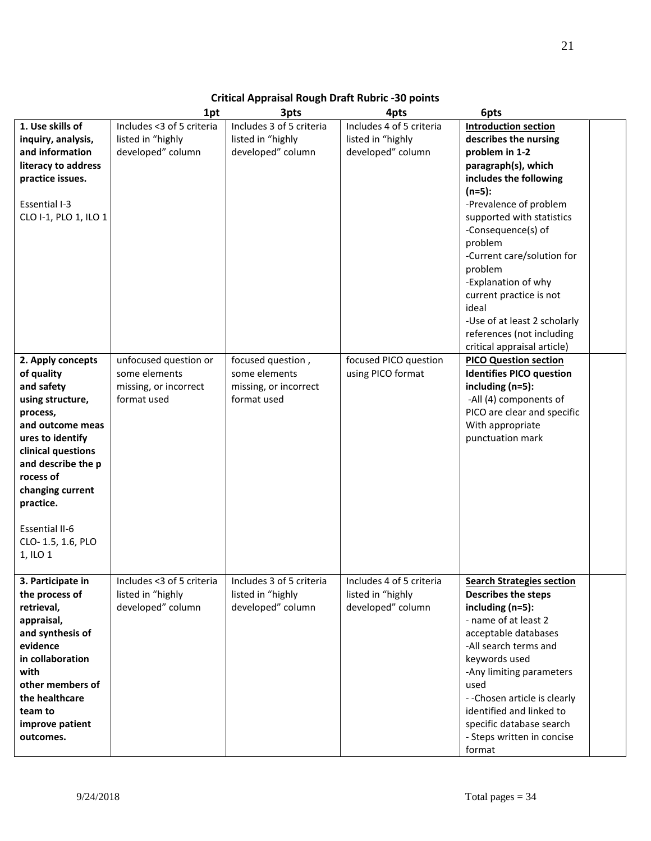# **Critical Appraisal Rough Draft Rubric -30 points**

|                       | 1pt                       | 3pts                     | 4pts                     | 6pts                             |  |
|-----------------------|---------------------------|--------------------------|--------------------------|----------------------------------|--|
| 1. Use skills of      | Includes <3 of 5 criteria | Includes 3 of 5 criteria | Includes 4 of 5 criteria | <b>Introduction section</b>      |  |
| inquiry, analysis,    | listed in "highly         | listed in "highly        | listed in "highly        | describes the nursing            |  |
| and information       | developed" column         | developed" column        | developed" column        | problem in 1-2                   |  |
| literacy to address   |                           |                          |                          | paragraph(s), which              |  |
| practice issues.      |                           |                          |                          | includes the following           |  |
|                       |                           |                          |                          | $(n=5):$                         |  |
| Essential I-3         |                           |                          |                          | -Prevalence of problem           |  |
| CLO I-1, PLO 1, ILO 1 |                           |                          |                          | supported with statistics        |  |
|                       |                           |                          |                          | -Consequence(s) of               |  |
|                       |                           |                          |                          | problem                          |  |
|                       |                           |                          |                          | -Current care/solution for       |  |
|                       |                           |                          |                          | problem                          |  |
|                       |                           |                          |                          | -Explanation of why              |  |
|                       |                           |                          |                          | current practice is not          |  |
|                       |                           |                          |                          | ideal                            |  |
|                       |                           |                          |                          | -Use of at least 2 scholarly     |  |
|                       |                           |                          |                          | references (not including        |  |
|                       |                           |                          |                          | critical appraisal article)      |  |
| 2. Apply concepts     | unfocused question or     | focused question,        | focused PICO question    | <b>PICO Question section</b>     |  |
| of quality            | some elements             | some elements            | using PICO format        | <b>Identifies PICO question</b>  |  |
| and safety            | missing, or incorrect     | missing, or incorrect    |                          | including $(n=5)$ :              |  |
| using structure,      | format used               | format used              |                          | -All (4) components of           |  |
| process,              |                           |                          |                          | PICO are clear and specific      |  |
| and outcome meas      |                           |                          |                          | With appropriate                 |  |
| ures to identify      |                           |                          |                          | punctuation mark                 |  |
| clinical questions    |                           |                          |                          |                                  |  |
| and describe the p    |                           |                          |                          |                                  |  |
| rocess of             |                           |                          |                          |                                  |  |
| changing current      |                           |                          |                          |                                  |  |
| practice.             |                           |                          |                          |                                  |  |
|                       |                           |                          |                          |                                  |  |
| <b>Essential II-6</b> |                           |                          |                          |                                  |  |
| CLO-1.5, 1.6, PLO     |                           |                          |                          |                                  |  |
| 1, ILO 1              |                           |                          |                          |                                  |  |
|                       |                           |                          |                          |                                  |  |
| 3. Participate in     | Includes <3 of 5 criteria | Includes 3 of 5 criteria | Includes 4 of 5 criteria | <b>Search Strategies section</b> |  |
| the process of        | listed in "highly         | listed in "highly        | listed in "highly        | <b>Describes the steps</b>       |  |
| retrieval,            | developed" column         | developed" column        | developed" column        | including $(n=5)$ :              |  |
| appraisal,            |                           |                          |                          | - name of at least 2             |  |
| and synthesis of      |                           |                          |                          | acceptable databases             |  |
| evidence              |                           |                          |                          | -All search terms and            |  |
| in collaboration      |                           |                          |                          |                                  |  |
| with                  |                           |                          |                          | keywords used                    |  |
|                       |                           |                          |                          | -Any limiting parameters         |  |
| other members of      |                           |                          |                          | used                             |  |
| the healthcare        |                           |                          |                          | - - Chosen article is clearly    |  |
| team to               |                           |                          |                          | identified and linked to         |  |
| improve patient       |                           |                          |                          | specific database search         |  |
| outcomes.             |                           |                          |                          | - Steps written in concise       |  |
|                       |                           |                          |                          | format                           |  |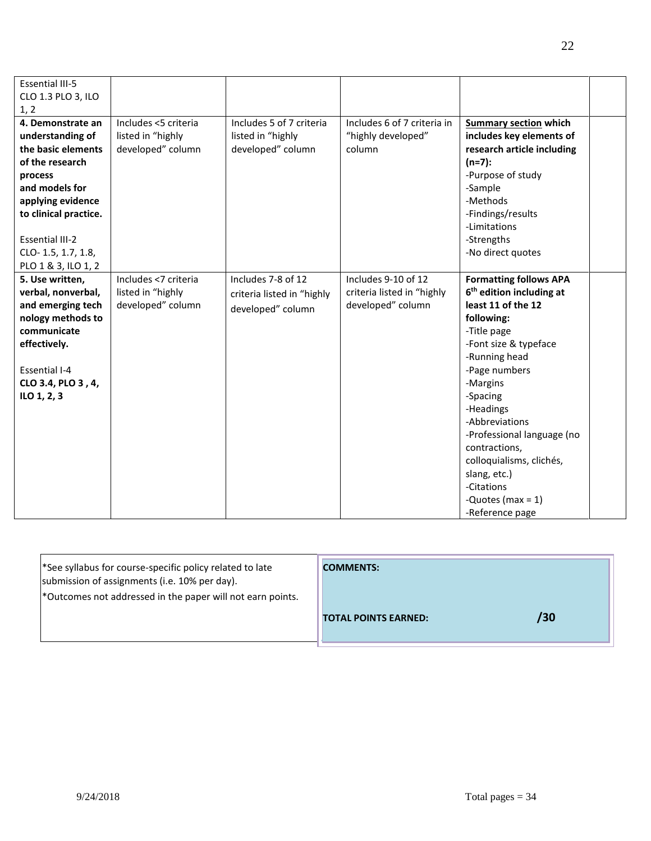| <b>Essential III-5</b> |                      |                            |                             |                                      |  |
|------------------------|----------------------|----------------------------|-----------------------------|--------------------------------------|--|
| CLO 1.3 PLO 3, ILO     |                      |                            |                             |                                      |  |
| 1, 2                   |                      |                            |                             |                                      |  |
| 4. Demonstrate an      | Includes <5 criteria | Includes 5 of 7 criteria   | Includes 6 of 7 criteria in | <b>Summary section which</b>         |  |
| understanding of       | listed in "highly    | listed in "highly          | "highly developed"          | includes key elements of             |  |
| the basic elements     | developed" column    | developed" column          | column                      | research article including           |  |
| of the research        |                      |                            |                             | $(n=7):$                             |  |
| process                |                      |                            |                             | -Purpose of study                    |  |
| and models for         |                      |                            |                             | -Sample                              |  |
| applying evidence      |                      |                            |                             | -Methods                             |  |
| to clinical practice.  |                      |                            |                             | -Findings/results                    |  |
|                        |                      |                            |                             | -Limitations                         |  |
| <b>Essential III-2</b> |                      |                            |                             | -Strengths                           |  |
| CLO-1.5, 1.7, 1.8,     |                      |                            |                             | -No direct quotes                    |  |
| PLO 1 & 3, ILO 1, 2    |                      |                            |                             |                                      |  |
| 5. Use written,        | Includes <7 criteria | Includes 7-8 of 12         | Includes 9-10 of 12         | <b>Formatting follows APA</b>        |  |
| verbal, nonverbal,     | listed in "highly    | criteria listed in "highly | criteria listed in "highly  | 6 <sup>th</sup> edition including at |  |
| and emerging tech      | developed" column    | developed" column          | developed" column           | least 11 of the 12                   |  |
| nology methods to      |                      |                            |                             | following:                           |  |
| communicate            |                      |                            |                             | -Title page                          |  |
| effectively.           |                      |                            |                             | -Font size & typeface                |  |
|                        |                      |                            |                             | -Running head                        |  |
| <b>Essential I-4</b>   |                      |                            |                             | -Page numbers                        |  |
| CLO 3.4, PLO 3, 4,     |                      |                            |                             | -Margins                             |  |
| ILO 1, 2, 3            |                      |                            |                             | -Spacing                             |  |
|                        |                      |                            |                             | -Headings                            |  |
|                        |                      |                            |                             | -Abbreviations                       |  |
|                        |                      |                            |                             | -Professional language (no           |  |
|                        |                      |                            |                             | contractions,                        |  |
|                        |                      |                            |                             | colloquialisms, clichés,             |  |
|                        |                      |                            |                             | slang, etc.)                         |  |
|                        |                      |                            |                             | -Citations                           |  |
|                        |                      |                            |                             | -Quotes (max = $1$ )                 |  |
|                        |                      |                            |                             | -Reference page                      |  |

| <sup>*</sup> See syllabus for course-specific policy related to late<br>submission of assignments (i.e. 10% per day). | <b>COMMENTS:</b>                   |
|-----------------------------------------------------------------------------------------------------------------------|------------------------------------|
| *Outcomes not addressed in the paper will not earn points.                                                            |                                    |
|                                                                                                                       | /30<br><b>TOTAL POINTS EARNED:</b> |
|                                                                                                                       |                                    |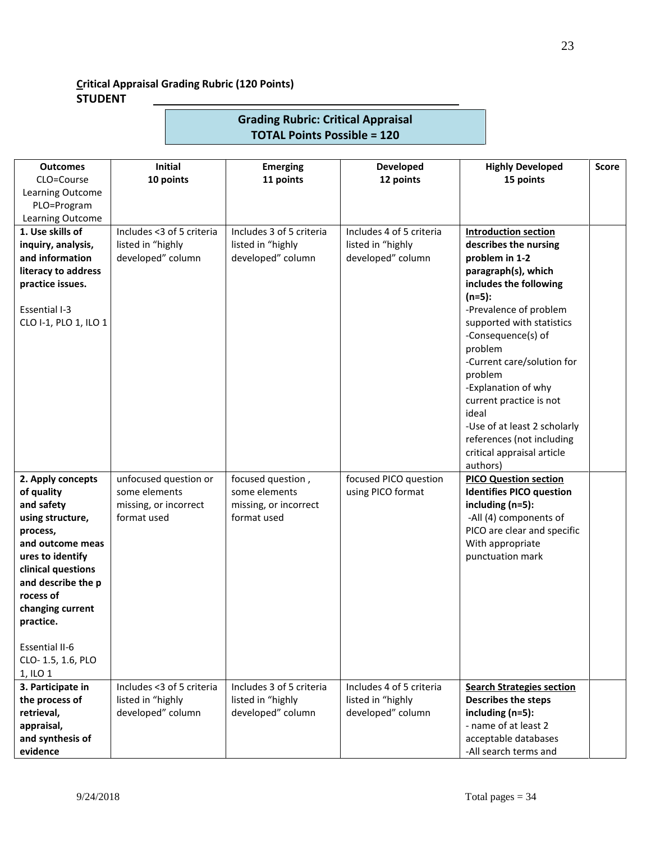# **Critical Appraisal Grading Rubric (120 Points) STUDENT**

| <b>Outcomes</b>                       | <b>Initial</b>                         | <b>Emerging</b>                    | Developed                                  | <b>Highly Developed</b>                                         | Score |
|---------------------------------------|----------------------------------------|------------------------------------|--------------------------------------------|-----------------------------------------------------------------|-------|
| CLO=Course                            | 10 points                              | 11 points                          | 12 points                                  | 15 points                                                       |       |
| Learning Outcome                      |                                        |                                    |                                            |                                                                 |       |
| PLO=Program                           |                                        |                                    |                                            |                                                                 |       |
| Learning Outcome                      |                                        |                                    |                                            |                                                                 |       |
| 1. Use skills of                      | Includes <3 of 5 criteria              | Includes 3 of 5 criteria           | Includes 4 of 5 criteria                   | <b>Introduction section</b>                                     |       |
| inquiry, analysis,<br>and information | listed in "highly<br>developed" column | listed in "highly                  | listed in "highly<br>developed" column     | describes the nursing                                           |       |
| literacy to address                   |                                        | developed" column                  |                                            | problem in 1-2<br>paragraph(s), which                           |       |
| practice issues.                      |                                        |                                    |                                            | includes the following                                          |       |
| Essential I-3                         |                                        |                                    |                                            | $(n=5):$<br>-Prevalence of problem                              |       |
| CLO I-1, PLO 1, ILO 1                 |                                        |                                    |                                            | supported with statistics<br>-Consequence(s) of                 |       |
|                                       |                                        |                                    |                                            | problem<br>-Current care/solution for                           |       |
|                                       |                                        |                                    |                                            | problem                                                         |       |
|                                       |                                        |                                    |                                            | -Explanation of why<br>current practice is not                  |       |
|                                       |                                        |                                    |                                            | ideal                                                           |       |
|                                       |                                        |                                    |                                            | -Use of at least 2 scholarly                                    |       |
|                                       |                                        |                                    |                                            | references (not including                                       |       |
|                                       |                                        |                                    |                                            | critical appraisal article                                      |       |
|                                       |                                        |                                    |                                            | authors)                                                        |       |
| 2. Apply concepts<br>of quality       | unfocused question or<br>some elements | focused question,<br>some elements | focused PICO question<br>using PICO format | <b>PICO Question section</b><br><b>Identifies PICO question</b> |       |
| and safety                            | missing, or incorrect                  | missing, or incorrect              |                                            | including (n=5):                                                |       |
| using structure,                      | format used                            | format used                        |                                            | -All (4) components of                                          |       |
| process,                              |                                        |                                    |                                            | PICO are clear and specific                                     |       |
| and outcome meas                      |                                        |                                    |                                            | With appropriate                                                |       |
| ures to identify                      |                                        |                                    |                                            | punctuation mark                                                |       |
| clinical questions                    |                                        |                                    |                                            |                                                                 |       |
| and describe the p<br>rocess of       |                                        |                                    |                                            |                                                                 |       |
| changing current                      |                                        |                                    |                                            |                                                                 |       |
| practice.                             |                                        |                                    |                                            |                                                                 |       |
| <b>Essential II-6</b>                 |                                        |                                    |                                            |                                                                 |       |
| CLO-1.5, 1.6, PLO                     |                                        |                                    |                                            |                                                                 |       |
| 1, ILO 1                              |                                        |                                    |                                            |                                                                 |       |
| 3. Participate in                     | Includes <3 of 5 criteria              | Includes 3 of 5 criteria           | Includes 4 of 5 criteria                   | <b>Search Strategies section</b>                                |       |
| the process of                        | listed in "highly                      | listed in "highly                  | listed in "highly                          | <b>Describes the steps</b>                                      |       |
| retrieval,                            | developed" column                      | developed" column                  | developed" column                          | including (n=5):                                                |       |
| appraisal,                            |                                        |                                    |                                            | - name of at least 2                                            |       |
| and synthesis of<br>evidence          |                                        |                                    |                                            | acceptable databases<br>-All search terms and                   |       |

**Grading Rubric: Critical Appraisal TOTAL Points Possible = 120**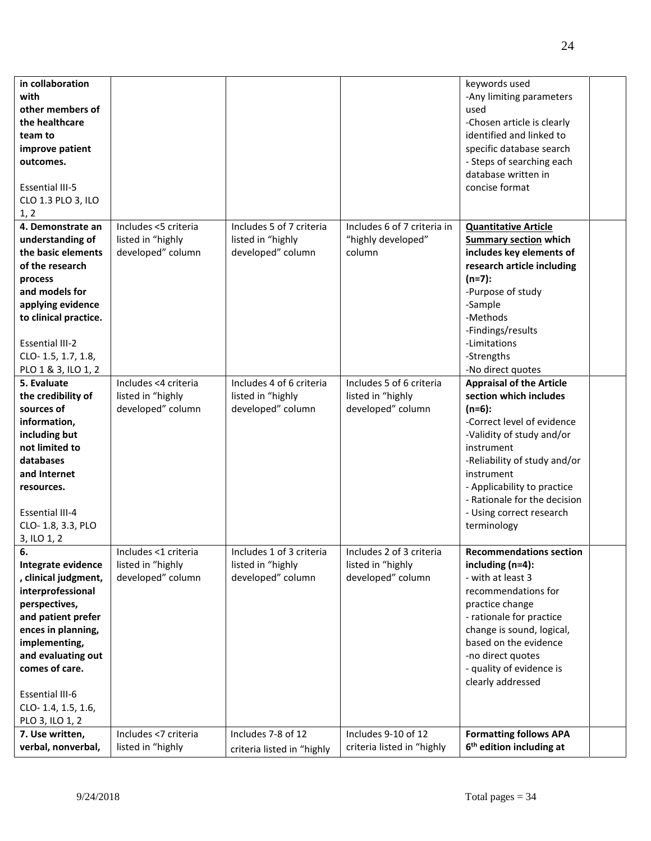| in collaboration<br>with<br>other members of<br>the healthcare<br>team to<br>improve patient<br>outcomes.<br><b>Essential III-5</b><br>CLO 1.3 PLO 3, ILO<br>1, 2                                                                                              |                                                                |                                                                    |                                                                    | keywords used<br>-Any limiting parameters<br>used<br>-Chosen article is clearly<br>identified and linked to<br>specific database search<br>- Steps of searching each<br>database written in<br>concise format                                                                                           |  |
|----------------------------------------------------------------------------------------------------------------------------------------------------------------------------------------------------------------------------------------------------------------|----------------------------------------------------------------|--------------------------------------------------------------------|--------------------------------------------------------------------|---------------------------------------------------------------------------------------------------------------------------------------------------------------------------------------------------------------------------------------------------------------------------------------------------------|--|
| 4. Demonstrate an<br>understanding of<br>the basic elements<br>of the research<br>process<br>and models for<br>applying evidence<br>to clinical practice.<br><b>Essential III-2</b><br>CLO-1.5, 1.7, 1.8,<br>PLO 1 & 3, ILO 1, 2                               | Includes <5 criteria<br>listed in "highly<br>developed" column | Includes 5 of 7 criteria<br>listed in "highly<br>developed" column | Includes 6 of 7 criteria in<br>"highly developed"<br>column        | <b>Quantitative Article</b><br><b>Summary section which</b><br>includes key elements of<br>research article including<br>$(n=7):$<br>-Purpose of study<br>-Sample<br>-Methods<br>-Findings/results<br>-Limitations<br>-Strengths<br>-No direct quotes                                                   |  |
| 5. Evaluate<br>the credibility of<br>sources of<br>information,<br>including but<br>not limited to<br>databases<br>and Internet<br>resources.<br><b>Essential III-4</b><br>CLO-1.8, 3.3, PLO<br>3, ILO 1, 2                                                    | Includes <4 criteria<br>listed in "highly<br>developed" column | Includes 4 of 6 criteria<br>listed in "highly<br>developed" column | Includes 5 of 6 criteria<br>listed in "highly<br>developed" column | <b>Appraisal of the Article</b><br>section which includes<br>$(n=6)$ :<br>-Correct level of evidence<br>-Validity of study and/or<br>instrument<br>-Reliability of study and/or<br>instrument<br>- Applicability to practice<br>- Rationale for the decision<br>- Using correct research<br>terminology |  |
| 6.<br>Integrate evidence<br>, clinical judgment,<br>interprofessional<br>perspectives,<br>and patient prefer<br>ences in planning,<br>implementing,<br>and evaluating out<br>comes of care.<br><b>Essential III-6</b><br>CLO-1.4, 1.5, 1.6,<br>PLO 3, ILO 1, 2 | Includes <1 criteria<br>listed in "highly<br>developed" column | Includes 1 of 3 criteria<br>listed in "highly<br>developed" column | Includes 2 of 3 criteria<br>listed in "highly<br>developed" column | <b>Recommendations section</b><br>including $(n=4)$ :<br>- with at least 3<br>recommendations for<br>practice change<br>- rationale for practice<br>change is sound, logical,<br>based on the evidence<br>-no direct quotes<br>- quality of evidence is<br>clearly addressed                            |  |
| 7. Use written,<br>verbal, nonverbal,                                                                                                                                                                                                                          | Includes <7 criteria<br>listed in "highly                      | Includes 7-8 of 12<br>criteria listed in "highly                   | Includes 9-10 of 12<br>criteria listed in "highly                  | <b>Formatting follows APA</b><br>6 <sup>th</sup> edition including at                                                                                                                                                                                                                                   |  |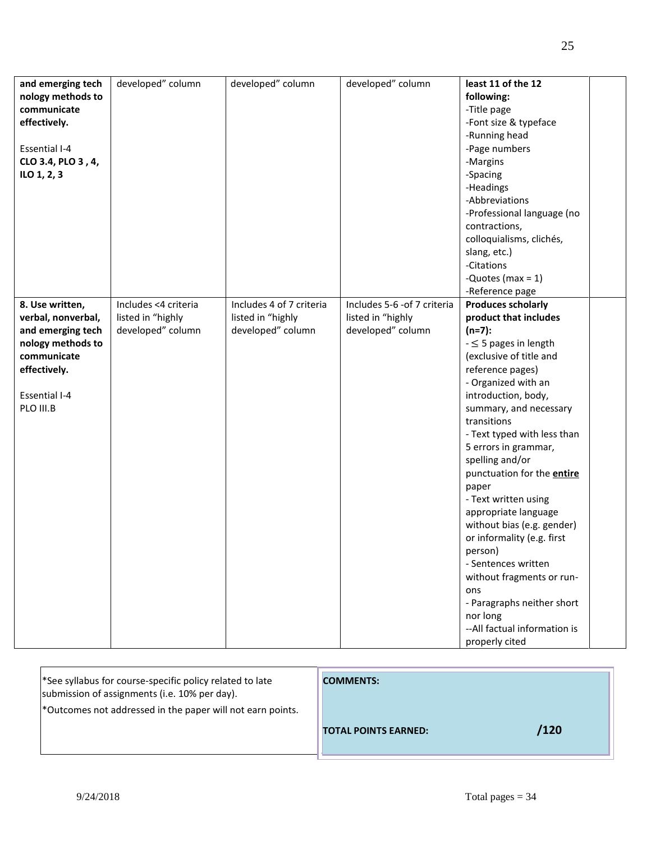|                      | developed" column    | developed" column        | developed" column            | least 11 of the 12           |  |
|----------------------|----------------------|--------------------------|------------------------------|------------------------------|--|
| and emerging tech    |                      |                          |                              |                              |  |
| nology methods to    |                      |                          |                              | following:                   |  |
| communicate          |                      |                          |                              | -Title page                  |  |
| effectively.         |                      |                          |                              | -Font size & typeface        |  |
|                      |                      |                          |                              | -Running head                |  |
| <b>Essential I-4</b> |                      |                          |                              | -Page numbers                |  |
| CLO 3.4, PLO 3, 4,   |                      |                          |                              | -Margins                     |  |
| ILO 1, 2, 3          |                      |                          |                              | -Spacing                     |  |
|                      |                      |                          |                              | -Headings                    |  |
|                      |                      |                          |                              | -Abbreviations               |  |
|                      |                      |                          |                              | -Professional language (no   |  |
|                      |                      |                          |                              | contractions,                |  |
|                      |                      |                          |                              | colloquialisms, clichés,     |  |
|                      |                      |                          |                              |                              |  |
|                      |                      |                          |                              | slang, etc.)                 |  |
|                      |                      |                          |                              | -Citations                   |  |
|                      |                      |                          |                              | -Quotes (max = $1$ )         |  |
|                      |                      |                          |                              | -Reference page              |  |
| 8. Use written,      | Includes <4 criteria | Includes 4 of 7 criteria | Includes 5-6 - of 7 criteria | <b>Produces scholarly</b>    |  |
| verbal, nonverbal,   | listed in "highly    | listed in "highly        | listed in "highly            | product that includes        |  |
| and emerging tech    | developed" column    | developed" column        | developed" column            | $(n=7):$                     |  |
| nology methods to    |                      |                          |                              | $ \leq$ 5 pages in length    |  |
| communicate          |                      |                          |                              | (exclusive of title and      |  |
| effectively.         |                      |                          |                              | reference pages)             |  |
|                      |                      |                          |                              | - Organized with an          |  |
| <b>Essential I-4</b> |                      |                          |                              | introduction, body,          |  |
| PLO III.B            |                      |                          |                              | summary, and necessary       |  |
|                      |                      |                          |                              | transitions                  |  |
|                      |                      |                          |                              |                              |  |
|                      |                      |                          |                              | - Text typed with less than  |  |
|                      |                      |                          |                              | 5 errors in grammar,         |  |
|                      |                      |                          |                              | spelling and/or              |  |
|                      |                      |                          |                              | punctuation for the entire   |  |
|                      |                      |                          |                              | paper                        |  |
|                      |                      |                          |                              | - Text written using         |  |
|                      |                      |                          |                              | appropriate language         |  |
|                      |                      |                          |                              | without bias (e.g. gender)   |  |
|                      |                      |                          |                              | or informality (e.g. first   |  |
|                      |                      |                          |                              | person)                      |  |
|                      |                      |                          |                              | - Sentences written          |  |
|                      |                      |                          |                              | without fragments or run-    |  |
|                      |                      |                          |                              | ons                          |  |
|                      |                      |                          |                              | - Paragraphs neither short   |  |
|                      |                      |                          |                              | nor long                     |  |
|                      |                      |                          |                              | --All factual information is |  |
|                      |                      |                          |                              |                              |  |
|                      |                      |                          |                              | properly cited               |  |

| <sup>*</sup> See syllabus for course-specific policy related to late<br>submission of assignments (i.e. 10% per day). | <b>COMMENTS:</b>            |      |
|-----------------------------------------------------------------------------------------------------------------------|-----------------------------|------|
| *Outcomes not addressed in the paper will not earn points.                                                            |                             |      |
|                                                                                                                       | <b>TOTAL POINTS EARNED:</b> | /120 |

Г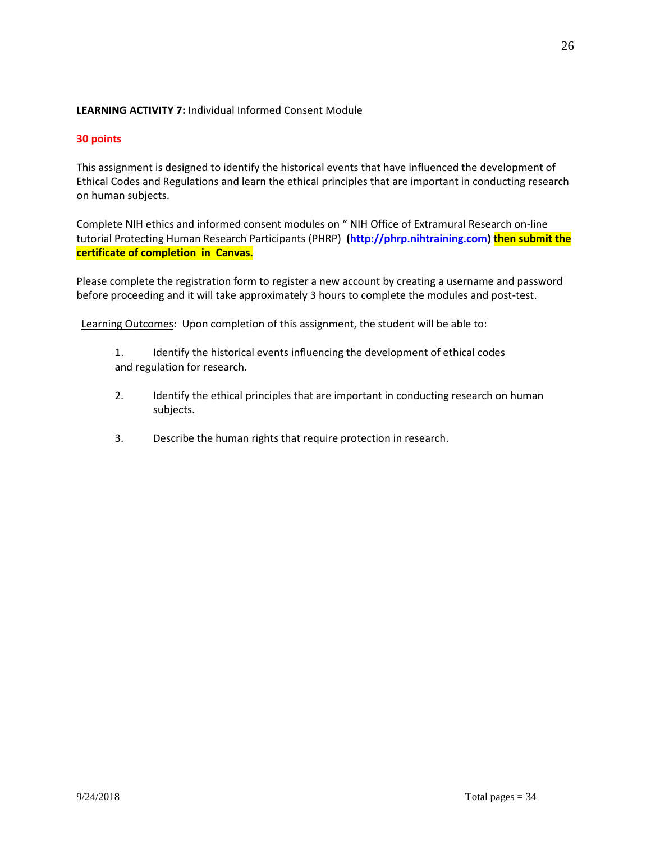# **LEARNING ACTIVITY 7:** Individual Informed Consent Module

# **30 points**

This assignment is designed to identify the historical events that have influenced the development of Ethical Codes and Regulations and learn the ethical principles that are important in conducting research on human subjects.

Complete NIH ethics and informed consent modules on " NIH Office of Extramural Research on-line tutorial Protecting Human Research Participants (PHRP) **[\(http://phrp.nihtraining.com\)](http://phrp.nihtraining.com/) then submit the certificate of completion in Canvas.** 

Please complete the registration form to register a new account by creating a username and password before proceeding and it will take approximately 3 hours to complete the modules and post-test.

Learning Outcomes: Upon completion of this assignment, the student will be able to:

- 1. Identify the historical events influencing the development of ethical codes and regulation for research.
- 2. Identify the ethical principles that are important in conducting research on human subjects.
- 3. Describe the human rights that require protection in research.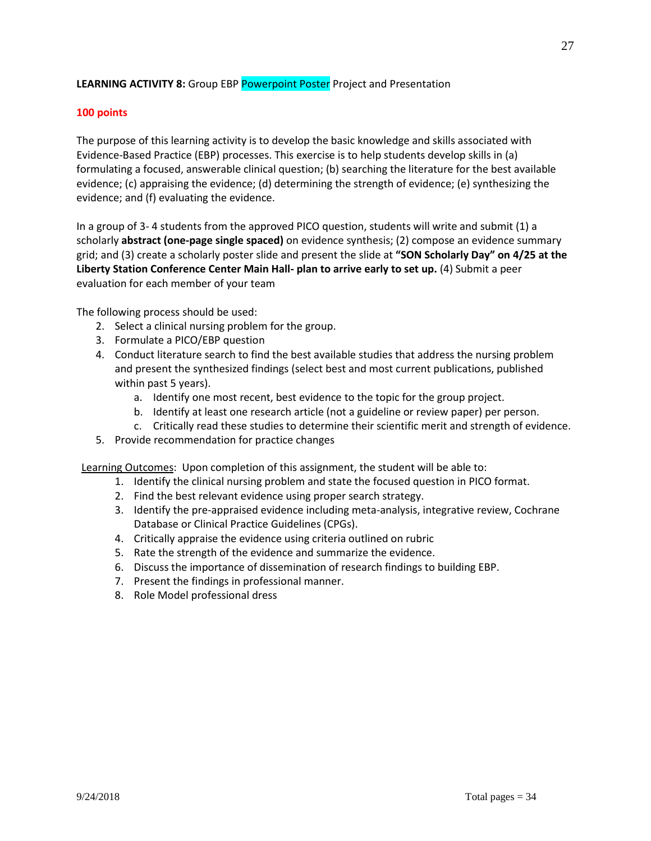# **LEARNING ACTIVITY 8:** Group EBP Powerpoint Poster Project and Presentation

### **100 points**

The purpose of this learning activity is to develop the basic knowledge and skills associated with Evidence-Based Practice (EBP) processes. This exercise is to help students develop skills in (a) formulating a focused, answerable clinical question; (b) searching the literature for the best available evidence; (c) appraising the evidence; (d) determining the strength of evidence; (e) synthesizing the evidence; and (f) evaluating the evidence.

In a group of 3- 4 students from the approved PICO question, students will write and submit (1) a scholarly **abstract (one-page single spaced)** on evidence synthesis; (2) compose an evidence summary grid; and (3) create a scholarly poster slide and present the slide at **"SON Scholarly Day" on 4/25 at the Liberty Station Conference Center Main Hall- plan to arrive early to set up.** (4) Submit a peer evaluation for each member of your team

The following process should be used:

- 2. Select a clinical nursing problem for the group.
- 3. Formulate a PICO/EBP question
- 4. Conduct literature search to find the best available studies that address the nursing problem and present the synthesized findings (select best and most current publications, published within past 5 years).
	- a. Identify one most recent, best evidence to the topic for the group project.
	- b. Identify at least one research article (not a guideline or review paper) per person.
	- c. Critically read these studies to determine their scientific merit and strength of evidence.
- 5. Provide recommendation for practice changes

Learning Outcomes: Upon completion of this assignment, the student will be able to:

- 1. Identify the clinical nursing problem and state the focused question in PICO format.
- 2. Find the best relevant evidence using proper search strategy.
- 3. Identify the pre-appraised evidence including meta-analysis, integrative review, Cochrane Database or Clinical Practice Guidelines (CPGs).
- 4. Critically appraise the evidence using criteria outlined on rubric
- 5. Rate the strength of the evidence and summarize the evidence.
- 6. Discuss the importance of dissemination of research findings to building EBP.
- 7. Present the findings in professional manner.
- 8. Role Model professional dress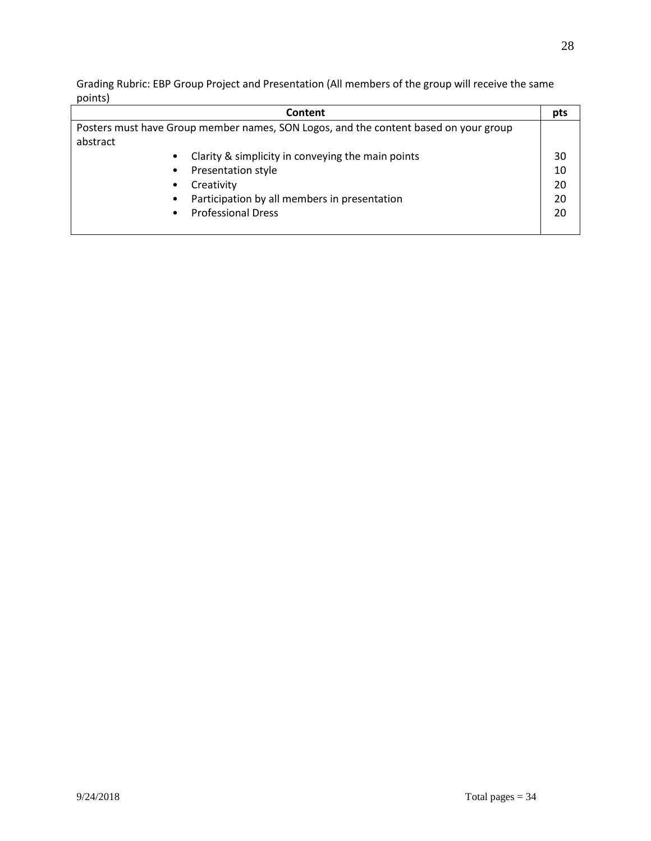Grading Rubric: EBP Group Project and Presentation (All members of the group will receive the same points)

| Content                                                                              | pts |  |  |
|--------------------------------------------------------------------------------------|-----|--|--|
| Posters must have Group member names, SON Logos, and the content based on your group |     |  |  |
| abstract                                                                             |     |  |  |
| Clarity & simplicity in conveying the main points                                    | 30  |  |  |
| Presentation style                                                                   | 10  |  |  |
| Creativity                                                                           | 20  |  |  |
| Participation by all members in presentation<br>٠                                    | 20  |  |  |
| <b>Professional Dress</b>                                                            | 20  |  |  |
|                                                                                      |     |  |  |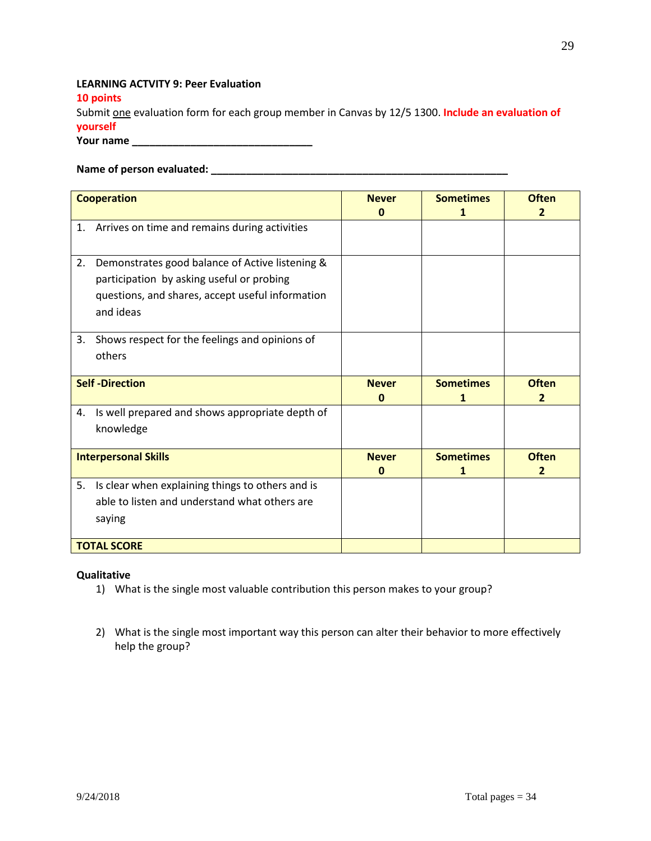# **LEARNING ACTVITY 9: Peer Evaluation**

**10 points**

Submit one evaluation form for each group member in Canvas by 12/5 1300. **Include an evaluation of yourself**

**Your name \_\_\_\_\_\_\_\_\_\_\_\_\_\_\_\_\_\_\_\_\_\_\_\_\_\_\_\_\_\_\_**

### **Name of person evaluated: \_\_\_\_\_\_\_\_\_\_\_\_\_\_\_\_\_\_\_\_\_\_\_\_\_\_\_\_\_\_\_\_\_\_\_\_\_\_\_\_\_\_\_\_\_\_\_\_\_\_\_**

| <b>Cooperation</b>                                                                                                                                                  | <b>Never</b><br>0 | <b>Sometimes</b><br>1 | <b>Often</b><br>2              |
|---------------------------------------------------------------------------------------------------------------------------------------------------------------------|-------------------|-----------------------|--------------------------------|
| Arrives on time and remains during activities<br>1.                                                                                                                 |                   |                       |                                |
| Demonstrates good balance of Active listening &<br>2.<br>participation by asking useful or probing<br>questions, and shares, accept useful information<br>and ideas |                   |                       |                                |
| Shows respect for the feelings and opinions of<br>3.<br>others                                                                                                      |                   |                       |                                |
| <b>Self-Direction</b>                                                                                                                                               | <b>Never</b><br>0 | <b>Sometimes</b><br>1 | <b>Often</b><br>2              |
| Is well prepared and shows appropriate depth of<br>4.<br>knowledge                                                                                                  |                   |                       |                                |
| <b>Interpersonal Skills</b>                                                                                                                                         | <b>Never</b><br>0 | <b>Sometimes</b><br>1 | <b>Often</b><br>$\overline{2}$ |
| 5.<br>Is clear when explaining things to others and is<br>able to listen and understand what others are<br>saying<br><b>TOTAL SCORE</b>                             |                   |                       |                                |

### **Qualitative**

- 1) What is the single most valuable contribution this person makes to your group?
- 2) What is the single most important way this person can alter their behavior to more effectively help the group?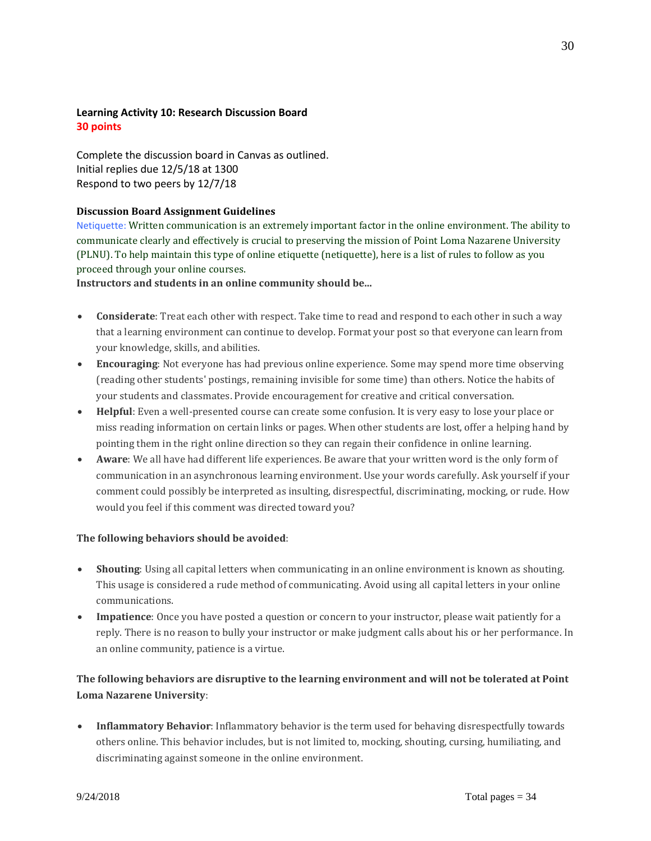# **Learning Activity 10: Research Discussion Board 30 points**

Complete the discussion board in Canvas as outlined. Initial replies due 12/5/18 at 1300 Respond to two peers by 12/7/18

### **Discussion Board Assignment Guidelines**

Netiquette: Written communication is an extremely important factor in the online environment. The ability to communicate clearly and effectively is crucial to preserving the mission of Point Loma Nazarene University (PLNU). To help maintain this type of online etiquette (netiquette), here is a list of rules to follow as you proceed through your online courses.

### **Instructors and students in an online community should be...**

- **Considerate**: Treat each other with respect. Take time to read and respond to each other in such a way that a learning environment can continue to develop. Format your post so that everyone can learn from your knowledge, skills, and abilities.
- **Encouraging**: Not everyone has had previous online experience. Some may spend more time observing (reading other students' postings, remaining invisible for some time) than others. Notice the habits of your students and classmates. Provide encouragement for creative and critical conversation.
- **Helpful**: Even a well-presented course can create some confusion. It is very easy to lose your place or miss reading information on certain links or pages. When other students are lost, offer a helping hand by pointing them in the right online direction so they can regain their confidence in online learning.
- **Aware**: We all have had different life experiences. Be aware that your written word is the only form of communication in an asynchronous learning environment. Use your words carefully. Ask yourself if your comment could possibly be interpreted as insulting, disrespectful, discriminating, mocking, or rude. How would you feel if this comment was directed toward you?

# **The following behaviors should be avoided**:

- **Shouting**: Using all capital letters when communicating in an online environment is known as shouting. This usage is considered a rude method of communicating. Avoid using all capital letters in your online communications.
- **Impatience**: Once you have posted a question or concern to your instructor, please wait patiently for a reply. There is no reason to bully your instructor or make judgment calls about his or her performance. In an online community, patience is a virtue.

# **The following behaviors are disruptive to the learning environment and will not be tolerated at Point Loma Nazarene University**:

• **Inflammatory Behavior**: Inflammatory behavior is the term used for behaving disrespectfully towards others online. This behavior includes, but is not limited to, mocking, shouting, cursing, humiliating, and discriminating against someone in the online environment.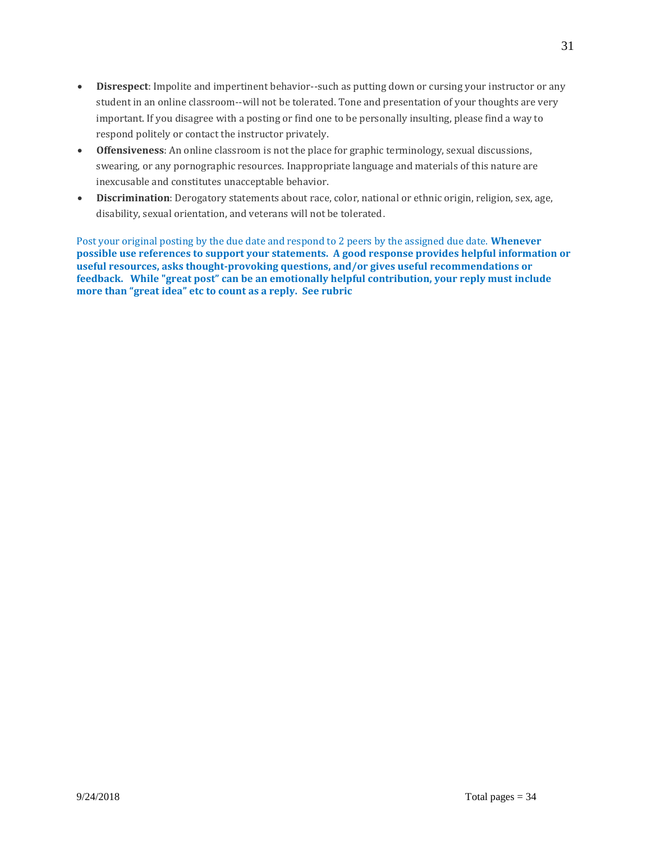- **Disrespect**: Impolite and impertinent behavior--such as putting down or cursing your instructor or any student in an online classroom--will not be tolerated. Tone and presentation of your thoughts are very important. If you disagree with a posting or find one to be personally insulting, please find a way to respond politely or contact the instructor privately.
- **Offensiveness**: An online classroom is not the place for graphic terminology, sexual discussions, swearing, or any pornographic resources. Inappropriate language and materials of this nature are inexcusable and constitutes unacceptable behavior.
- **Discrimination**: Derogatory statements about race, color, national or ethnic origin, religion, sex, age, disability, sexual orientation, and veterans will not be tolerated.

Post your original posting by the due date and respond to 2 peers by the assigned due date. **Whenever possible use references to support your statements. A good response provides helpful information or useful resources, asks thought-provoking questions, and/or gives useful recommendations or feedback. While "great post" can be an emotionally helpful contribution, your reply must include more than "great idea" etc to count as a reply. See rubric**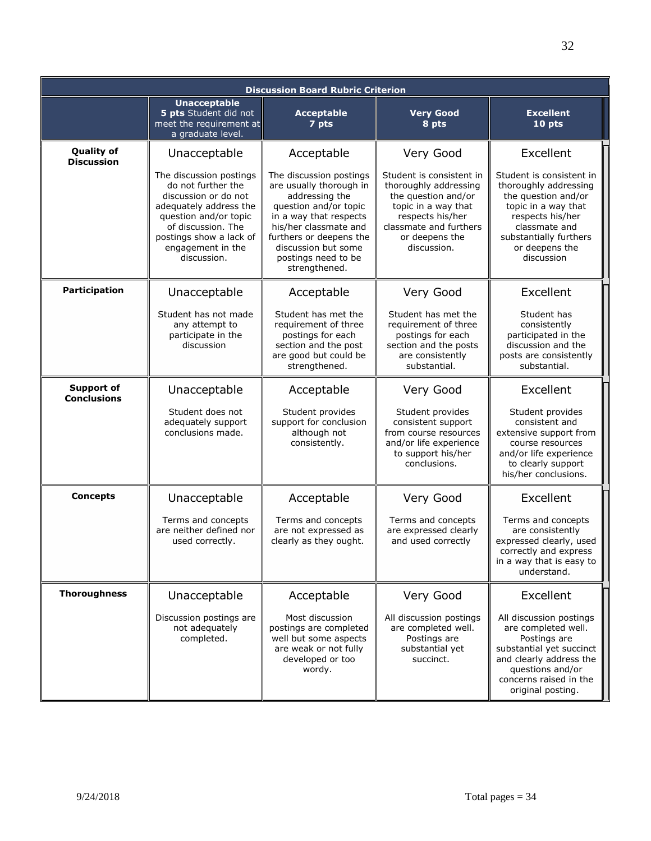|                                         |                                                                                                                                                                                                               | <b>Discussion Board Rubric Criterion</b>                                                                                                                                                                                                   |                                                                                                                                                                                |                                                                                                                                                                                                |
|-----------------------------------------|---------------------------------------------------------------------------------------------------------------------------------------------------------------------------------------------------------------|--------------------------------------------------------------------------------------------------------------------------------------------------------------------------------------------------------------------------------------------|--------------------------------------------------------------------------------------------------------------------------------------------------------------------------------|------------------------------------------------------------------------------------------------------------------------------------------------------------------------------------------------|
|                                         | <b>Unacceptable</b><br>5 pts Student did not<br>meet the requirement at<br>a graduate level.                                                                                                                  | <b>Acceptable</b><br>7 pts                                                                                                                                                                                                                 | <b>Very Good</b><br>8 pts                                                                                                                                                      | <b>Excellent</b><br>10 pts                                                                                                                                                                     |
| <b>Quality of</b><br><b>Discussion</b>  | Unacceptable                                                                                                                                                                                                  | Acceptable                                                                                                                                                                                                                                 | Very Good                                                                                                                                                                      | Excellent                                                                                                                                                                                      |
|                                         | The discussion postings<br>do not further the<br>discussion or do not<br>adequately address the<br>question and/or topic<br>of discussion. The<br>postings show a lack of<br>engagement in the<br>discussion. | The discussion postings<br>are usually thorough in<br>addressing the<br>question and/or topic<br>in a way that respects<br>his/her classmate and<br>furthers or deepens the<br>discussion but some<br>postings need to be<br>strengthened. | Student is consistent in<br>thoroughly addressing<br>the question and/or<br>topic in a way that<br>respects his/her<br>classmate and furthers<br>or deepens the<br>discussion. | Student is consistent in<br>thoroughly addressing<br>the question and/or<br>topic in a way that<br>respects his/her<br>classmate and<br>substantially furthers<br>or deepens the<br>discussion |
| <b>Participation</b>                    | Unacceptable                                                                                                                                                                                                  | Acceptable                                                                                                                                                                                                                                 | Very Good                                                                                                                                                                      | Excellent                                                                                                                                                                                      |
|                                         | Student has not made<br>any attempt to<br>participate in the<br>discussion                                                                                                                                    | Student has met the<br>requirement of three<br>postings for each<br>section and the post<br>are good but could be<br>strengthened.                                                                                                         | Student has met the<br>requirement of three<br>postings for each<br>section and the posts<br>are consistently<br>substantial.                                                  | Student has<br>consistently<br>participated in the<br>discussion and the<br>posts are consistently<br>substantial.                                                                             |
| <b>Support of</b><br><b>Conclusions</b> | Unacceptable                                                                                                                                                                                                  | Acceptable                                                                                                                                                                                                                                 | Very Good                                                                                                                                                                      | Excellent                                                                                                                                                                                      |
|                                         | Student does not<br>adequately support<br>conclusions made.                                                                                                                                                   | Student provides<br>support for conclusion<br>although not<br>consistently.                                                                                                                                                                | Student provides<br>consistent support<br>from course resources<br>and/or life experience<br>to support his/her<br>conclusions.                                                | Student provides<br>consistent and<br>extensive support from<br>course resources<br>and/or life experience<br>to clearly support<br>his/her conclusions.                                       |
| <b>Concepts</b>                         | Unacceptable                                                                                                                                                                                                  | Acceptable                                                                                                                                                                                                                                 | Very Good                                                                                                                                                                      | Excellent                                                                                                                                                                                      |
|                                         | Terms and concepts<br>are neither defined nor<br>used correctly.                                                                                                                                              | Terms and concepts<br>are not expressed as<br>clearly as they ought.                                                                                                                                                                       | Terms and concepts<br>are expressed clearly<br>and used correctly                                                                                                              | Terms and concepts<br>are consistently<br>expressed clearly, used<br>correctly and express<br>in a way that is easy to<br>understand.                                                          |
| <b>Thoroughness</b>                     | Unacceptable                                                                                                                                                                                                  | Acceptable                                                                                                                                                                                                                                 | Very Good                                                                                                                                                                      | Excellent                                                                                                                                                                                      |
|                                         | Discussion postings are<br>not adequately<br>completed.                                                                                                                                                       | Most discussion<br>postings are completed<br>well but some aspects<br>are weak or not fully<br>developed or too<br>wordy.                                                                                                                  | All discussion postings<br>are completed well.<br>Postings are<br>substantial yet<br>succinct.                                                                                 | All discussion postings<br>are completed well.<br>Postings are<br>substantial yet succinct<br>and clearly address the<br>questions and/or<br>concerns raised in the<br>original posting.       |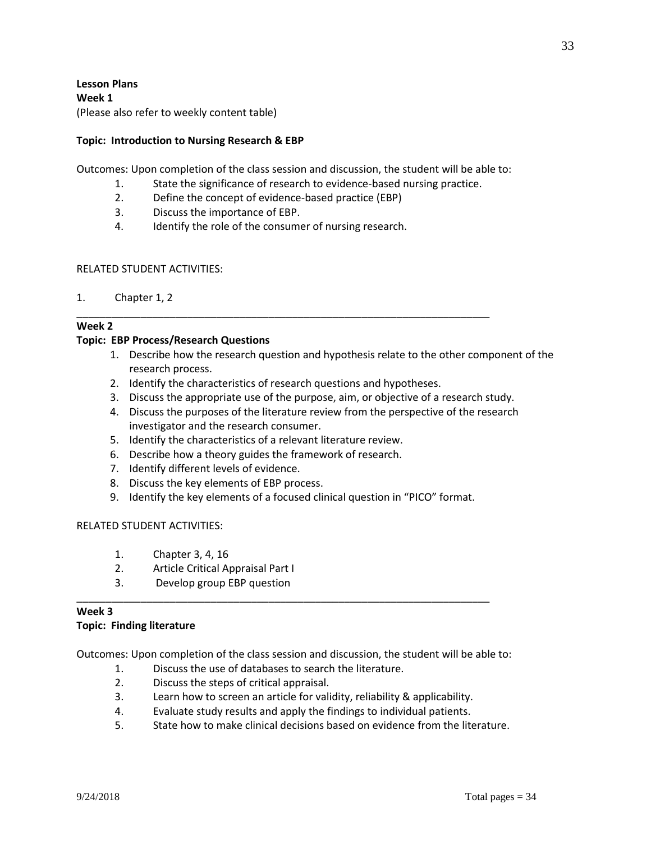**Lesson Plans Week 1** (Please also refer to weekly content table)

### **Topic: Introduction to Nursing Research & EBP**

Outcomes: Upon completion of the class session and discussion, the student will be able to:

- 1. State the significance of research to evidence-based nursing practice.
- 2. Define the concept of evidence-based practice (EBP)
- 3. Discuss the importance of EBP.
- 4. Identify the role of the consumer of nursing research.

### RELATED STUDENT ACTIVITIES:

1. Chapter 1, 2

#### **Week 2**

### **Topic: EBP Process/Research Questions**

- 1. Describe how the research question and hypothesis relate to the other component of the research process.
- 2. Identify the characteristics of research questions and hypotheses.

\_\_\_\_\_\_\_\_\_\_\_\_\_\_\_\_\_\_\_\_\_\_\_\_\_\_\_\_\_\_\_\_\_\_\_\_\_\_\_\_\_\_\_\_\_\_\_\_\_\_\_\_\_\_\_\_\_\_\_\_\_\_\_\_\_\_\_\_\_\_\_

- 3. Discuss the appropriate use of the purpose, aim, or objective of a research study.
- 4. Discuss the purposes of the literature review from the perspective of the research investigator and the research consumer.
- 5. Identify the characteristics of a relevant literature review.
- 6. Describe how a theory guides the framework of research.
- 7. Identify different levels of evidence.
- 8. Discuss the key elements of EBP process.
- 9. Identify the key elements of a focused clinical question in "PICO" format.

### RELATED STUDENT ACTIVITIES:

- 1. Chapter 3, 4, 16
- 2. Article Critical Appraisal Part I
- 3. Develop group EBP question

### **Week 3 Topic: Finding literature**

Outcomes: Upon completion of the class session and discussion, the student will be able to:

\_\_\_\_\_\_\_\_\_\_\_\_\_\_\_\_\_\_\_\_\_\_\_\_\_\_\_\_\_\_\_\_\_\_\_\_\_\_\_\_\_\_\_\_\_\_\_\_\_\_\_\_\_\_\_\_\_\_\_\_\_\_\_\_\_\_\_\_\_\_\_

- 1. Discuss the use of databases to search the literature.
- 2. Discuss the steps of critical appraisal.
- 3. Learn how to screen an article for validity, reliability & applicability.
- 4. Evaluate study results and apply the findings to individual patients.
- 5. State how to make clinical decisions based on evidence from the literature.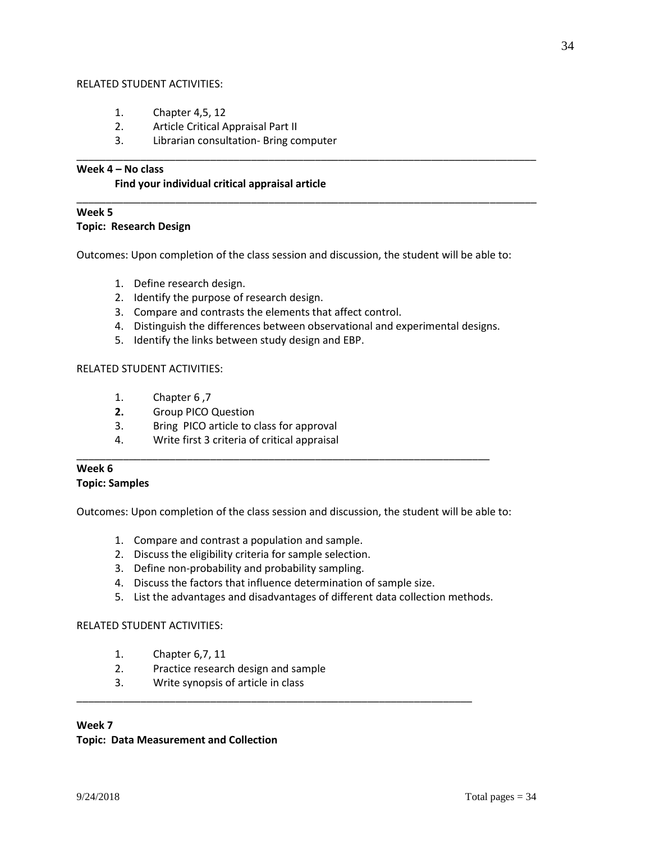### RELATED STUDENT ACTIVITIES:

- 1. Chapter 4,5, 12
- 2. Article Critical Appraisal Part II
- 3. Librarian consultation- Bring computer

### **Week 4 – No class**

### **Find your individual critical appraisal article**

# **Week 5**

### **Topic: Research Design**

Outcomes: Upon completion of the class session and discussion, the student will be able to:

\_\_\_\_\_\_\_\_\_\_\_\_\_\_\_\_\_\_\_\_\_\_\_\_\_\_\_\_\_\_\_\_\_\_\_\_\_\_\_\_\_\_\_\_\_\_\_\_\_\_\_\_\_\_\_\_\_\_\_\_\_\_\_\_\_\_\_\_\_\_\_\_\_\_\_\_\_\_\_

\_\_\_\_\_\_\_\_\_\_\_\_\_\_\_\_\_\_\_\_\_\_\_\_\_\_\_\_\_\_\_\_\_\_\_\_\_\_\_\_\_\_\_\_\_\_\_\_\_\_\_\_\_\_\_\_\_\_\_\_\_\_\_\_\_\_\_\_\_\_\_\_\_\_\_\_\_\_\_

- 1. Define research design.
- 2. Identify the purpose of research design.
- 3. Compare and contrasts the elements that affect control.
- 4. Distinguish the differences between observational and experimental designs.
- 5. Identify the links between study design and EBP.

### RELATED STUDENT ACTIVITIES:

- 1. Chapter 6 ,7
- **2.** Group PICO Question
- 3. Bring PICO article to class for approval
- 4. Write first 3 criteria of critical appraisal

### **Week 6 Topic: Samples**

Outcomes: Upon completion of the class session and discussion, the student will be able to:

\_\_\_\_\_\_\_\_\_\_\_\_\_\_\_\_\_\_\_\_\_\_\_\_\_\_\_\_\_\_\_\_\_\_\_\_\_\_\_\_\_\_\_\_\_\_\_\_\_\_\_\_\_\_\_\_\_\_\_\_\_\_\_\_\_\_\_\_\_\_\_

- 1. Compare and contrast a population and sample.
- 2. Discuss the eligibility criteria for sample selection.
- 3. Define non-probability and probability sampling.
- 4. Discuss the factors that influence determination of sample size.

\_\_\_\_\_\_\_\_\_\_\_\_\_\_\_\_\_\_\_\_\_\_\_\_\_\_\_\_\_\_\_\_\_\_\_\_\_\_\_\_\_\_\_\_\_\_\_\_\_\_\_\_\_\_\_\_\_\_\_\_\_\_\_\_\_\_\_\_

5. List the advantages and disadvantages of different data collection methods.

### RELATED STUDENT ACTIVITIES:

- 1. Chapter 6,7, 11
- 2. Practice research design and sample
- 3. Write synopsis of article in class

### **Week 7**

### **Topic: Data Measurement and Collection**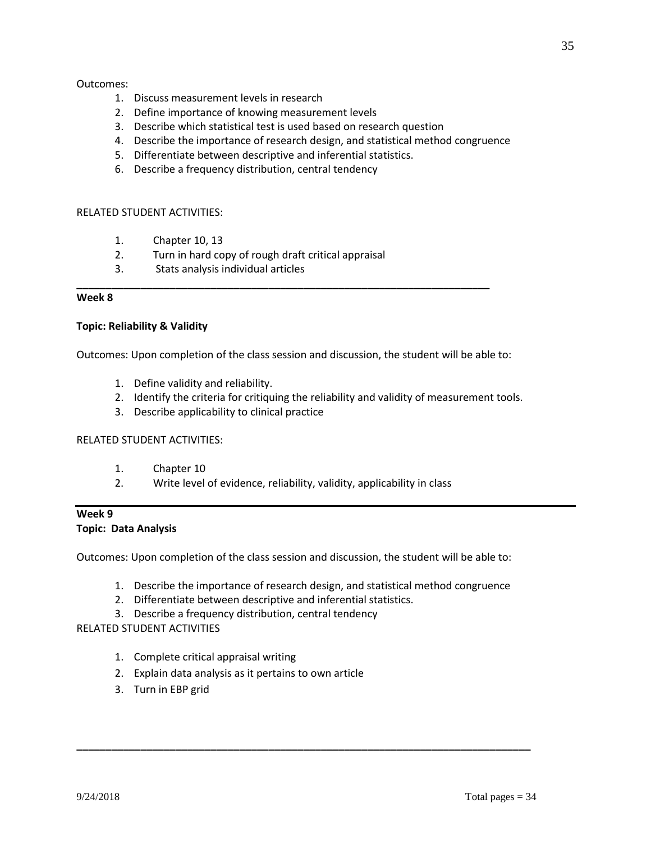### Outcomes:

- 1. Discuss measurement levels in research
- 2. Define importance of knowing measurement levels
- 3. Describe which statistical test is used based on research question
- 4. Describe the importance of research design, and statistical method congruence
- 5. Differentiate between descriptive and inferential statistics.
- 6. Describe a frequency distribution, central tendency

### RELATED STUDENT ACTIVITIES:

- 1. Chapter 10, 13
- 2. Turn in hard copy of rough draft critical appraisal
- 3. Stats analysis individual articles

### **Week 8**

### **Topic: Reliability & Validity**

Outcomes: Upon completion of the class session and discussion, the student will be able to:

**\_\_\_\_\_\_\_\_\_\_\_\_\_\_\_\_\_\_\_\_\_\_\_\_\_\_\_\_\_\_\_\_\_\_\_\_\_\_\_\_\_\_\_\_\_\_\_\_\_\_\_\_\_\_\_\_\_\_\_\_\_\_\_\_\_\_\_\_\_\_\_**

- 1. Define validity and reliability.
- 2. Identify the criteria for critiquing the reliability and validity of measurement tools.
- 3. Describe applicability to clinical practice

# RELATED STUDENT ACTIVITIES:

- 1. Chapter 10
- 2. Write level of evidence, reliability, validity, applicability in class

# **Week 9 Topic: Data Analysis**

Outcomes: Upon completion of the class session and discussion, the student will be able to:

1. Describe the importance of research design, and statistical method congruence

**\_\_\_\_\_\_\_\_\_\_\_\_\_\_\_\_\_\_\_\_\_\_\_\_\_\_\_\_\_\_\_\_\_\_\_\_\_\_\_\_\_\_\_\_\_\_\_\_\_\_\_\_\_\_\_\_\_\_\_\_\_\_\_\_\_\_\_\_\_\_\_\_\_\_\_\_\_\_**

- 2. Differentiate between descriptive and inferential statistics.
- 3. Describe a frequency distribution, central tendency

# RELATED STUDENT ACTIVITIES

- 1. Complete critical appraisal writing
- 2. Explain data analysis as it pertains to own article
- 3. Turn in EBP grid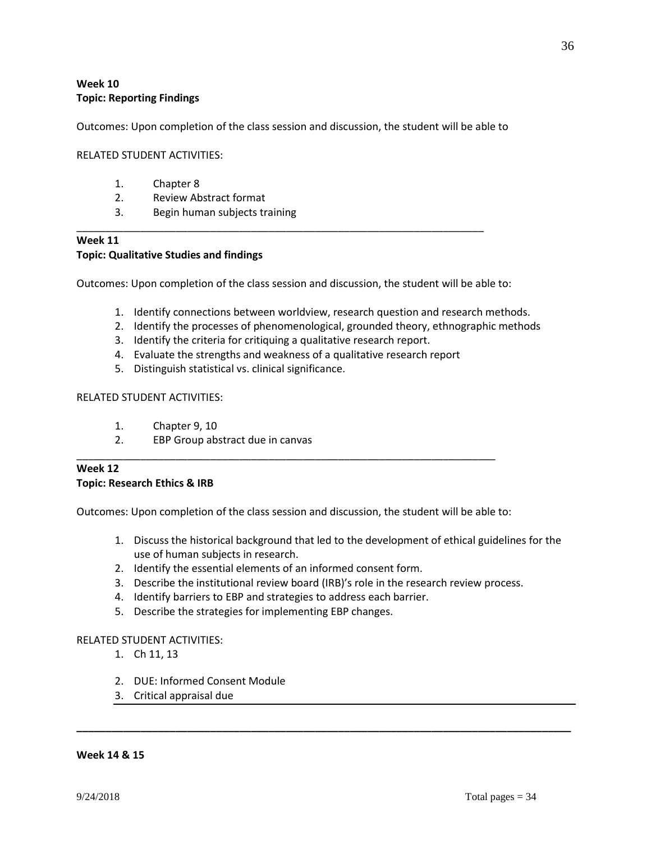# **Week 10 Topic: Reporting Findings**

Outcomes: Upon completion of the class session and discussion, the student will be able to

### RELATED STUDENT ACTIVITIES:

- 1. Chapter 8
- 2. Review Abstract format
- 3. Begin human subjects training

# **Week 11 Topic: Qualitative Studies and findings**

Outcomes: Upon completion of the class session and discussion, the student will be able to:

\_\_\_\_\_\_\_\_\_\_\_\_\_\_\_\_\_\_\_\_\_\_\_\_\_\_\_\_\_\_\_\_\_\_\_\_\_\_\_\_\_\_\_\_\_\_\_\_\_\_\_\_\_\_\_\_\_\_\_\_\_\_\_\_\_\_\_\_\_\_

- 1. Identify connections between worldview, research question and research methods.
- 2. Identify the processes of phenomenological, grounded theory, ethnographic methods
- 3. Identify the criteria for critiquing a qualitative research report.
- 4. Evaluate the strengths and weakness of a qualitative research report
- 5. Distinguish statistical vs. clinical significance.

### RELATED STUDENT ACTIVITIES:

- 1. Chapter 9, 10
- 2. EBP Group abstract due in canvas

### **Week 12 Topic: Research Ethics & IRB**

Outcomes: Upon completion of the class session and discussion, the student will be able to:

\_\_\_\_\_\_\_\_\_\_\_\_\_\_\_\_\_\_\_\_\_\_\_\_\_\_\_\_\_\_\_\_\_\_\_\_\_\_\_\_\_\_\_\_\_\_\_\_\_\_\_\_\_\_\_\_\_\_\_\_\_\_\_\_\_\_\_\_\_\_\_\_

- 1. Discuss the historical background that led to the development of ethical guidelines for the use of human subjects in research.
- 2. Identify the essential elements of an informed consent form.
- 3. Describe the institutional review board (IRB)'s role in the research review process.

**\_\_\_\_\_\_\_\_\_\_\_\_\_\_\_\_\_\_\_\_\_\_\_\_\_\_\_\_\_\_\_\_\_\_\_\_\_\_\_\_\_\_\_\_\_\_\_\_\_\_\_\_\_\_\_\_\_\_\_\_\_\_\_\_\_\_\_\_\_\_\_\_\_\_\_\_\_\_\_\_\_\_\_\_\_**

- 4. Identify barriers to EBP and strategies to address each barrier.
- 5. Describe the strategies for implementing EBP changes.

### RELATED STUDENT ACTIVITIES:

- 1. Ch 11, 13
- 2. DUE: Informed Consent Module
- 3. Critical appraisal due

#### **Week 14 & 15**